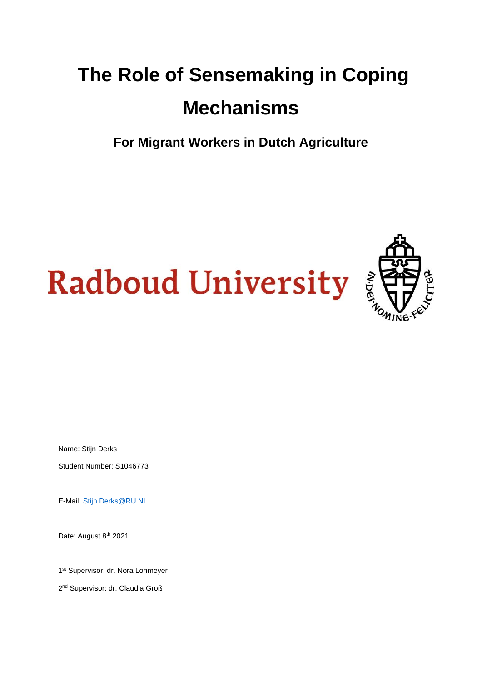## **The Role of Sensemaking in Coping Mechanisms**

**For Migrant Workers in Dutch Agriculture**

# **Radboud University**



Name: Stijn Derks

Student Number: S1046773

E-Mail: Stijn.Derks@RU.NL

Date: August 8<sup>th</sup> 2021

1<sup>st</sup> Supervisor: dr. Nora Lohmeyer

2<sup>nd</sup> Supervisor: dr. Claudia Groß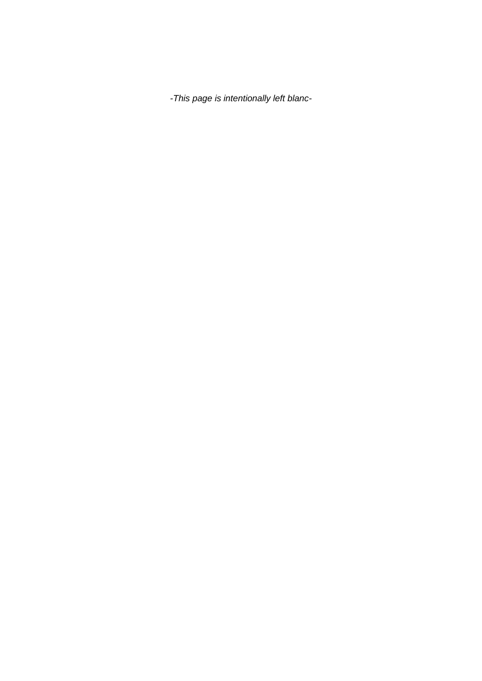*-This page is intentionally left blanc-*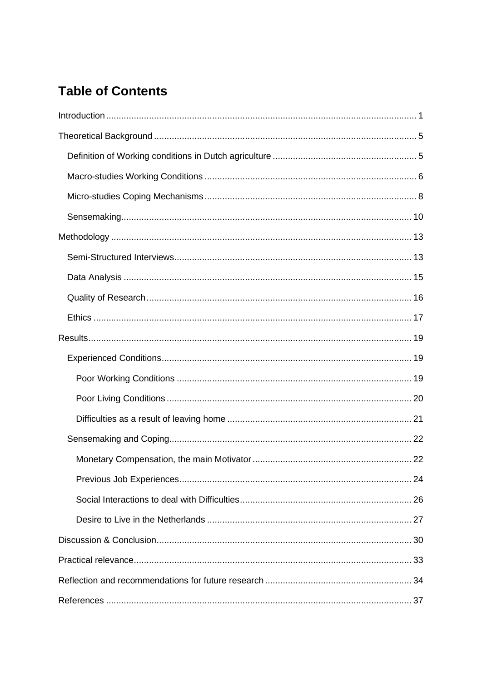## **Table of Contents**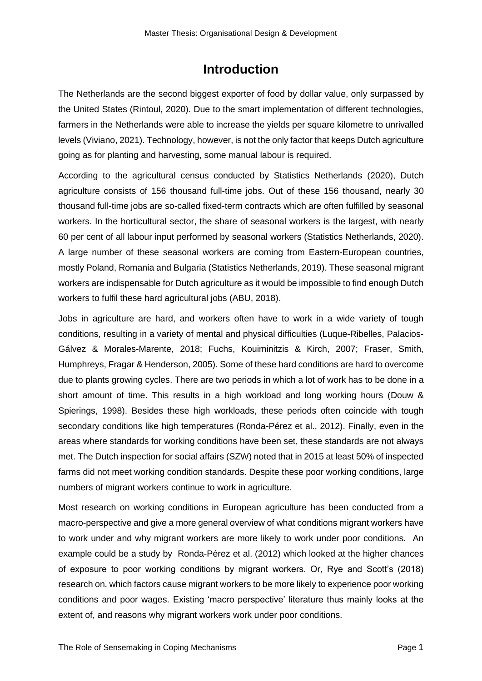## **Introduction**

<span id="page-4-0"></span>The Netherlands are the second biggest exporter of food by dollar value, only surpassed by the United States (Rintoul, 2020). Due to the smart implementation of different technologies, farmers in the Netherlands were able to increase the yields per square kilometre to unrivalled levels (Viviano, 2021). Technology, however, is not the only factor that keeps Dutch agriculture going as for planting and harvesting, some manual labour is required.

According to the agricultural census conducted by Statistics Netherlands (2020), Dutch agriculture consists of 156 thousand full-time jobs. Out of these 156 thousand, nearly 30 thousand full-time jobs are so-called fixed-term contracts which are often fulfilled by seasonal workers. In the horticultural sector, the share of seasonal workers is the largest, with nearly 60 per cent of all labour input performed by seasonal workers (Statistics Netherlands, 2020). A large number of these seasonal workers are coming from Eastern-European countries, mostly Poland, Romania and Bulgaria (Statistics Netherlands, 2019). These seasonal migrant workers are indispensable for Dutch agriculture as it would be impossible to find enough Dutch workers to fulfil these hard agricultural jobs (ABU, 2018).

Jobs in agriculture are hard, and workers often have to work in a wide variety of tough conditions, resulting in a variety of mental and physical difficulties (Luque-Ribelles, Palacios-Gálvez & Morales-Marente, 2018; Fuchs, Kouiminitzis & Kirch, 2007; Fraser, Smith, Humphreys, Fragar & Henderson, 2005). Some of these hard conditions are hard to overcome due to plants growing cycles. There are two periods in which a lot of work has to be done in a short amount of time. This results in a high workload and long working hours (Douw & Spierings, 1998). Besides these high workloads, these periods often coincide with tough secondary conditions like high temperatures (Ronda-Pérez et al., 2012). Finally, even in the areas where standards for working conditions have been set, these standards are not always met. The Dutch inspection for social affairs (SZW) noted that in 2015 at least 50% of inspected farms did not meet working condition standards. Despite these poor working conditions, large numbers of migrant workers continue to work in agriculture.

Most research on working conditions in European agriculture has been conducted from a macro-perspective and give a more general overview of what conditions migrant workers have to work under and why migrant workers are more likely to work under poor conditions. An example could be a study by Ronda-Pérez et al. (2012) which looked at the higher chances of exposure to poor working conditions by migrant workers. Or, Rye and Scott's (2018) research on, which factors cause migrant workers to be more likely to experience poor working conditions and poor wages. Existing 'macro perspective' literature thus mainly looks at the extent of, and reasons why migrant workers work under poor conditions.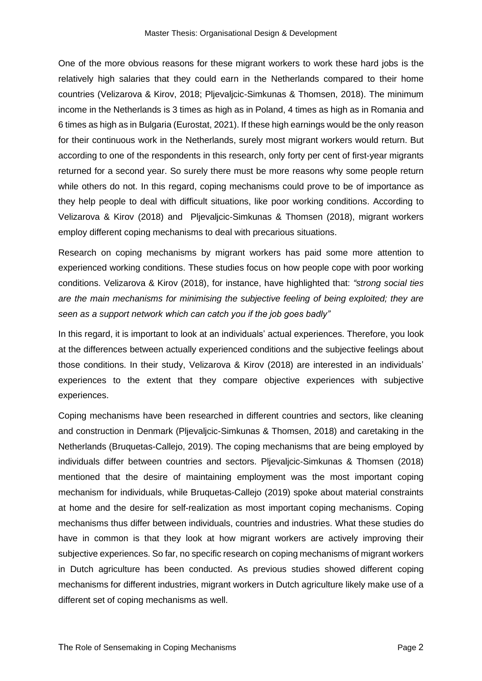One of the more obvious reasons for these migrant workers to work these hard jobs is the relatively high salaries that they could earn in the Netherlands compared to their home countries (Velizarova & Kirov, 2018; Pljevaljcic-Simkunas & Thomsen, 2018). The minimum income in the Netherlands is 3 times as high as in Poland, 4 times as high as in Romania and 6 times as high as in Bulgaria (Eurostat, 2021). If these high earnings would be the only reason for their continuous work in the Netherlands, surely most migrant workers would return. But according to one of the respondents in this research, only forty per cent of first-year migrants returned for a second year. So surely there must be more reasons why some people return while others do not. In this regard, coping mechanisms could prove to be of importance as they help people to deal with difficult situations, like poor working conditions. According to Velizarova & Kirov (2018) and Pljevaljcic-Simkunas & Thomsen (2018), migrant workers employ different coping mechanisms to deal with precarious situations.

Research on coping mechanisms by migrant workers has paid some more attention to experienced working conditions. These studies focus on how people cope with poor working conditions. Velizarova & Kirov (2018), for instance, have highlighted that: *"strong social ties are the main mechanisms for minimising the subjective feeling of being exploited; they are seen as a support network which can catch you if the job goes badly"*

In this regard, it is important to look at an individuals' actual experiences. Therefore, you look at the differences between actually experienced conditions and the subjective feelings about those conditions. In their study, Velizarova & Kirov (2018) are interested in an individuals' experiences to the extent that they compare objective experiences with subjective experiences.

Coping mechanisms have been researched in different countries and sectors, like cleaning and construction in Denmark (Pljevaljcic-Simkunas & Thomsen, 2018) and caretaking in the Netherlands (Bruquetas-Callejo, 2019). The coping mechanisms that are being employed by individuals differ between countries and sectors. Pljevaljcic-Simkunas & Thomsen (2018) mentioned that the desire of maintaining employment was the most important coping mechanism for individuals, while Bruquetas-Callejo (2019) spoke about material constraints at home and the desire for self-realization as most important coping mechanisms. Coping mechanisms thus differ between individuals, countries and industries. What these studies do have in common is that they look at how migrant workers are actively improving their subjective experiences. So far, no specific research on coping mechanisms of migrant workers in Dutch agriculture has been conducted. As previous studies showed different coping mechanisms for different industries, migrant workers in Dutch agriculture likely make use of a different set of coping mechanisms as well.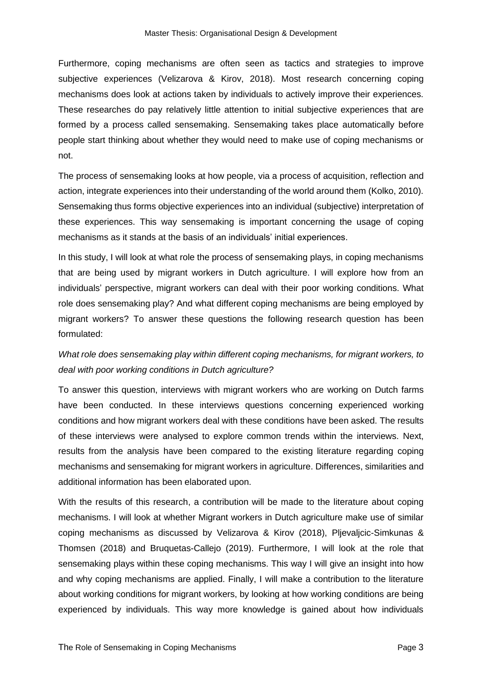Furthermore, coping mechanisms are often seen as tactics and strategies to improve subjective experiences (Velizarova & Kirov, 2018). Most research concerning coping mechanisms does look at actions taken by individuals to actively improve their experiences. These researches do pay relatively little attention to initial subjective experiences that are formed by a process called sensemaking. Sensemaking takes place automatically before people start thinking about whether they would need to make use of coping mechanisms or not.

The process of sensemaking looks at how people, via a process of acquisition, reflection and action, integrate experiences into their understanding of the world around them (Kolko, 2010). Sensemaking thus forms objective experiences into an individual (subjective) interpretation of these experiences. This way sensemaking is important concerning the usage of coping mechanisms as it stands at the basis of an individuals' initial experiences.

In this study, I will look at what role the process of sensemaking plays, in coping mechanisms that are being used by migrant workers in Dutch agriculture. I will explore how from an individuals' perspective, migrant workers can deal with their poor working conditions. What role does sensemaking play? And what different coping mechanisms are being employed by migrant workers? To answer these questions the following research question has been formulated:

#### *What role does sensemaking play within different coping mechanisms, for migrant workers, to deal with poor working conditions in Dutch agriculture?*

To answer this question, interviews with migrant workers who are working on Dutch farms have been conducted. In these interviews questions concerning experienced working conditions and how migrant workers deal with these conditions have been asked. The results of these interviews were analysed to explore common trends within the interviews. Next, results from the analysis have been compared to the existing literature regarding coping mechanisms and sensemaking for migrant workers in agriculture. Differences, similarities and additional information has been elaborated upon.

With the results of this research, a contribution will be made to the literature about coping mechanisms. I will look at whether Migrant workers in Dutch agriculture make use of similar coping mechanisms as discussed by Velizarova & Kirov (2018), Pljevaljcic-Simkunas & Thomsen (2018) and Bruquetas-Callejo (2019). Furthermore, I will look at the role that sensemaking plays within these coping mechanisms. This way I will give an insight into how and why coping mechanisms are applied. Finally, I will make a contribution to the literature about working conditions for migrant workers, by looking at how working conditions are being experienced by individuals. This way more knowledge is gained about how individuals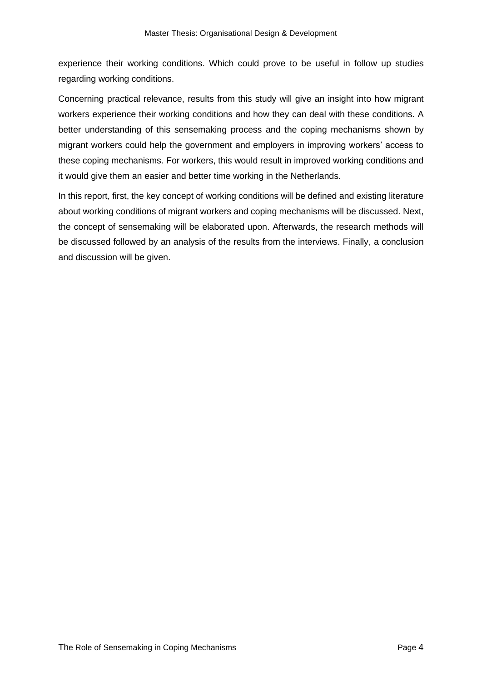experience their working conditions. Which could prove to be useful in follow up studies regarding working conditions.

Concerning practical relevance, results from this study will give an insight into how migrant workers experience their working conditions and how they can deal with these conditions. A better understanding of this sensemaking process and the coping mechanisms shown by migrant workers could help the government and employers in improving workers' access to these coping mechanisms. For workers, this would result in improved working conditions and it would give them an easier and better time working in the Netherlands.

In this report, first, the key concept of working conditions will be defined and existing literature about working conditions of migrant workers and coping mechanisms will be discussed. Next, the concept of sensemaking will be elaborated upon. Afterwards, the research methods will be discussed followed by an analysis of the results from the interviews. Finally, a conclusion and discussion will be given.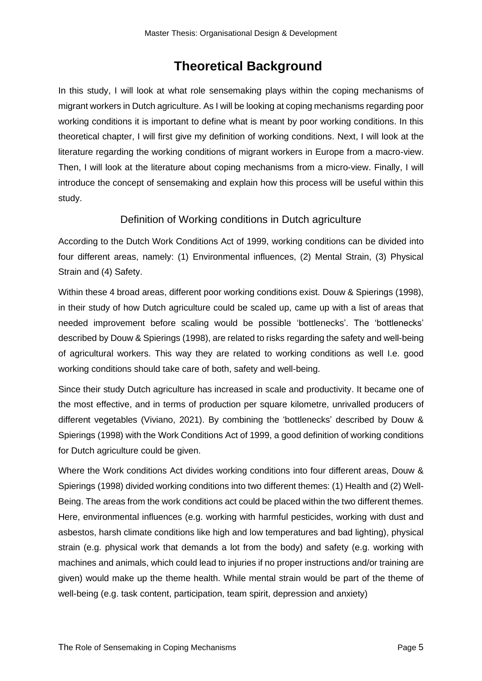## **Theoretical Background**

<span id="page-8-0"></span>In this study, I will look at what role sensemaking plays within the coping mechanisms of migrant workers in Dutch agriculture. As I will be looking at coping mechanisms regarding poor working conditions it is important to define what is meant by poor working conditions. In this theoretical chapter, I will first give my definition of working conditions. Next, I will look at the literature regarding the working conditions of migrant workers in Europe from a macro-view. Then, I will look at the literature about coping mechanisms from a micro-view. Finally, I will introduce the concept of sensemaking and explain how this process will be useful within this study.

#### Definition of Working conditions in Dutch agriculture

<span id="page-8-1"></span>According to the Dutch Work Conditions Act of 1999, working conditions can be divided into four different areas, namely: (1) Environmental influences, (2) Mental Strain, (3) Physical Strain and (4) Safety.

Within these 4 broad areas, different poor working conditions exist. Douw & Spierings (1998), in their study of how Dutch agriculture could be scaled up, came up with a list of areas that needed improvement before scaling would be possible 'bottlenecks'. The 'bottlenecks' described by Douw & Spierings (1998), are related to risks regarding the safety and well-being of agricultural workers. This way they are related to working conditions as well I.e. good working conditions should take care of both, safety and well-being.

Since their study Dutch agriculture has increased in scale and productivity. It became one of the most effective, and in terms of production per square kilometre, unrivalled producers of different vegetables (Viviano, 2021). By combining the 'bottlenecks' described by Douw & Spierings (1998) with the Work Conditions Act of 1999, a good definition of working conditions for Dutch agriculture could be given.

Where the Work conditions Act divides working conditions into four different areas, Douw & Spierings (1998) divided working conditions into two different themes: (1) Health and (2) Well-Being. The areas from the work conditions act could be placed within the two different themes. Here, environmental influences (e.g. working with harmful pesticides, working with dust and asbestos, harsh climate conditions like high and low temperatures and bad lighting), physical strain (e.g. physical work that demands a lot from the body) and safety (e.g. working with machines and animals, which could lead to injuries if no proper instructions and/or training are given) would make up the theme health. While mental strain would be part of the theme of well-being (e.g. task content, participation, team spirit, depression and anxiety)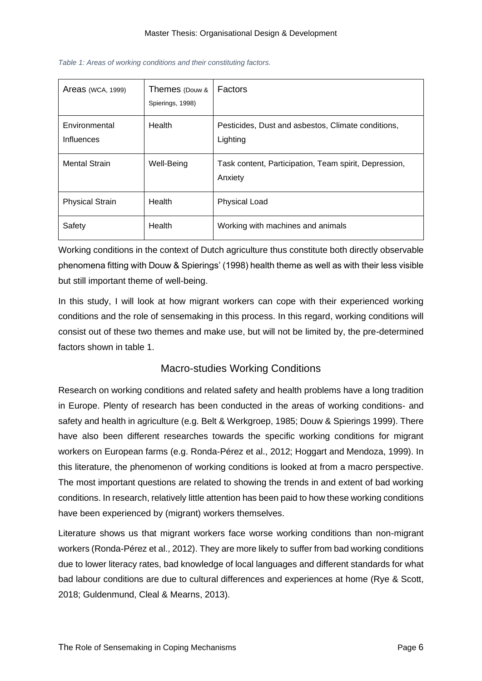| <b>Areas</b> (WCA, 1999)           | Themes (Douw &<br>Spierings, 1998) | <b>Factors</b>                                                   |
|------------------------------------|------------------------------------|------------------------------------------------------------------|
| Environmental<br><b>Influences</b> | Health                             | Pesticides, Dust and asbestos, Climate conditions,<br>Lighting   |
| <b>Mental Strain</b>               | Well-Being                         | Task content, Participation, Team spirit, Depression,<br>Anxiety |
| <b>Physical Strain</b>             | Health                             | <b>Physical Load</b>                                             |
| Safety                             | Health                             | Working with machines and animals                                |

*Table 1: Areas of working conditions and their constituting factors.*

Working conditions in the context of Dutch agriculture thus constitute both directly observable phenomena fitting with Douw & Spierings' (1998) health theme as well as with their less visible but still important theme of well-being.

In this study, I will look at how migrant workers can cope with their experienced working conditions and the role of sensemaking in this process. In this regard, working conditions will consist out of these two themes and make use, but will not be limited by, the pre-determined factors shown in table 1.

#### Macro-studies Working Conditions

<span id="page-9-0"></span>Research on working conditions and related safety and health problems have a long tradition in Europe. Plenty of research has been conducted in the areas of working conditions- and safety and health in agriculture (e.g. Belt & Werkgroep, 1985; Douw & Spierings 1999). There have also been different researches towards the specific working conditions for migrant workers on European farms (e.g. Ronda-Pérez et al., 2012; Hoggart and Mendoza, 1999). In this literature, the phenomenon of working conditions is looked at from a macro perspective. The most important questions are related to showing the trends in and extent of bad working conditions. In research, relatively little attention has been paid to how these working conditions have been experienced by (migrant) workers themselves.

Literature shows us that migrant workers face worse working conditions than non-migrant workers (Ronda-Pérez et al., 2012). They are more likely to suffer from bad working conditions due to lower literacy rates, bad knowledge of local languages and different standards for what bad labour conditions are due to cultural differences and experiences at home (Rye & Scott, 2018; Guldenmund, Cleal & Mearns, 2013).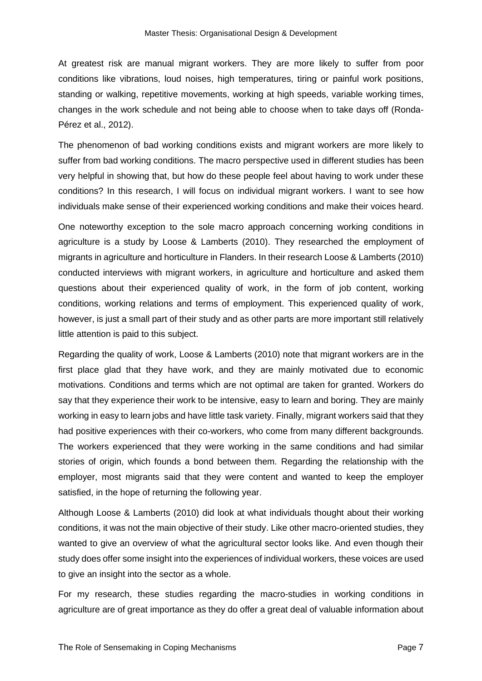At greatest risk are manual migrant workers. They are more likely to suffer from poor conditions like vibrations, loud noises, high temperatures, tiring or painful work positions, standing or walking, repetitive movements, working at high speeds, variable working times, changes in the work schedule and not being able to choose when to take days off (Ronda-Pérez et al., 2012).

The phenomenon of bad working conditions exists and migrant workers are more likely to suffer from bad working conditions. The macro perspective used in different studies has been very helpful in showing that, but how do these people feel about having to work under these conditions? In this research, I will focus on individual migrant workers. I want to see how individuals make sense of their experienced working conditions and make their voices heard.

One noteworthy exception to the sole macro approach concerning working conditions in agriculture is a study by Loose & Lamberts (2010). They researched the employment of migrants in agriculture and horticulture in Flanders. In their research Loose & Lamberts (2010) conducted interviews with migrant workers, in agriculture and horticulture and asked them questions about their experienced quality of work, in the form of job content, working conditions, working relations and terms of employment. This experienced quality of work, however, is just a small part of their study and as other parts are more important still relatively little attention is paid to this subject.

Regarding the quality of work, Loose & Lamberts (2010) note that migrant workers are in the first place glad that they have work, and they are mainly motivated due to economic motivations. Conditions and terms which are not optimal are taken for granted. Workers do say that they experience their work to be intensive, easy to learn and boring. They are mainly working in easy to learn jobs and have little task variety. Finally, migrant workers said that they had positive experiences with their co-workers, who come from many different backgrounds. The workers experienced that they were working in the same conditions and had similar stories of origin, which founds a bond between them. Regarding the relationship with the employer, most migrants said that they were content and wanted to keep the employer satisfied, in the hope of returning the following year.

Although Loose & Lamberts (2010) did look at what individuals thought about their working conditions, it was not the main objective of their study. Like other macro-oriented studies, they wanted to give an overview of what the agricultural sector looks like. And even though their study does offer some insight into the experiences of individual workers, these voices are used to give an insight into the sector as a whole.

For my research, these studies regarding the macro-studies in working conditions in agriculture are of great importance as they do offer a great deal of valuable information about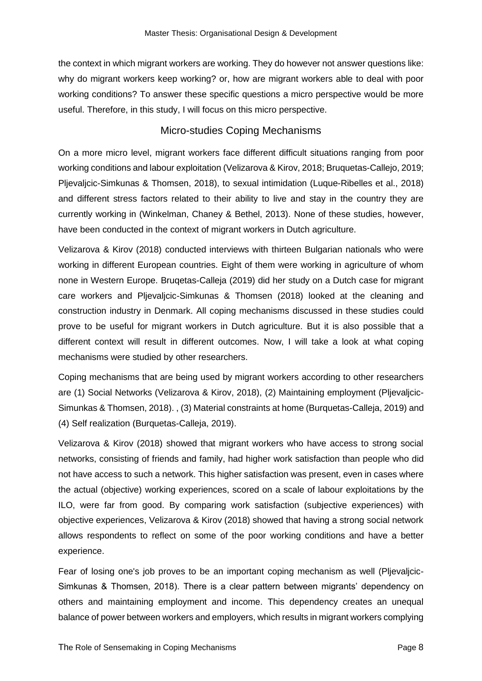the context in which migrant workers are working. They do however not answer questions like: why do migrant workers keep working? or, how are migrant workers able to deal with poor working conditions? To answer these specific questions a micro perspective would be more useful. Therefore, in this study, I will focus on this micro perspective.

#### Micro-studies Coping Mechanisms

<span id="page-11-0"></span>On a more micro level, migrant workers face different difficult situations ranging from poor working conditions and labour exploitation (Velizarova & Kirov, 2018; Bruquetas-Callejo, 2019; Pljevaljcic-Simkunas & Thomsen, 2018), to sexual intimidation (Luque-Ribelles et al., 2018) and different stress factors related to their ability to live and stay in the country they are currently working in (Winkelman, Chaney & Bethel, 2013). None of these studies, however, have been conducted in the context of migrant workers in Dutch agriculture.

Velizarova & Kirov (2018) conducted interviews with thirteen Bulgarian nationals who were working in different European countries. Eight of them were working in agriculture of whom none in Western Europe. Bruqetas-Calleja (2019) did her study on a Dutch case for migrant care workers and Pljevaljcic-Simkunas & Thomsen (2018) looked at the cleaning and construction industry in Denmark. All coping mechanisms discussed in these studies could prove to be useful for migrant workers in Dutch agriculture. But it is also possible that a different context will result in different outcomes. Now, I will take a look at what coping mechanisms were studied by other researchers.

Coping mechanisms that are being used by migrant workers according to other researchers are (1) Social Networks (Velizarova & Kirov, 2018), (2) Maintaining employment (Pljevaljcic-Simunkas & Thomsen, 2018). , (3) Material constraints at home (Burquetas-Calleja, 2019) and (4) Self realization (Burquetas-Calleja, 2019).

Velizarova & Kirov (2018) showed that migrant workers who have access to strong social networks, consisting of friends and family, had higher work satisfaction than people who did not have access to such a network. This higher satisfaction was present, even in cases where the actual (objective) working experiences, scored on a scale of labour exploitations by the ILO, were far from good. By comparing work satisfaction (subjective experiences) with objective experiences, Velizarova & Kirov (2018) showed that having a strong social network allows respondents to reflect on some of the poor working conditions and have a better experience.

Fear of losing one's job proves to be an important coping mechanism as well (Pljevaljcic-Simkunas & Thomsen, 2018). There is a clear pattern between migrants' dependency on others and maintaining employment and income. This dependency creates an unequal balance of power between workers and employers, which results in migrant workers complying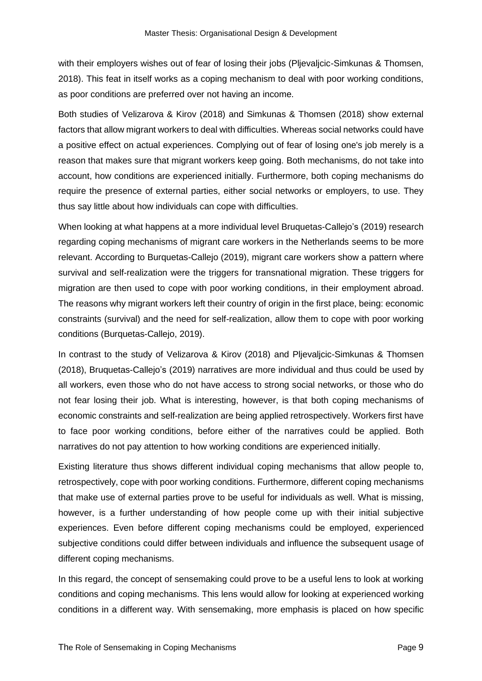with their employers wishes out of fear of losing their jobs (Pljevaljcic-Simkunas & Thomsen, 2018). This feat in itself works as a coping mechanism to deal with poor working conditions, as poor conditions are preferred over not having an income.

Both studies of Velizarova & Kirov (2018) and Simkunas & Thomsen (2018) show external factors that allow migrant workers to deal with difficulties. Whereas social networks could have a positive effect on actual experiences. Complying out of fear of losing one's job merely is a reason that makes sure that migrant workers keep going. Both mechanisms, do not take into account, how conditions are experienced initially. Furthermore, both coping mechanisms do require the presence of external parties, either social networks or employers, to use. They thus say little about how individuals can cope with difficulties.

When looking at what happens at a more individual level Bruquetas-Callejo's (2019) research regarding coping mechanisms of migrant care workers in the Netherlands seems to be more relevant. According to Burquetas-Callejo (2019), migrant care workers show a pattern where survival and self-realization were the triggers for transnational migration. These triggers for migration are then used to cope with poor working conditions, in their employment abroad. The reasons why migrant workers left their country of origin in the first place, being: economic constraints (survival) and the need for self-realization, allow them to cope with poor working conditions (Burquetas-Callejo, 2019).

In contrast to the study of Velizarova & Kirov (2018) and Pljevaljcic-Simkunas & Thomsen (2018), Bruquetas-Callejo's (2019) narratives are more individual and thus could be used by all workers, even those who do not have access to strong social networks, or those who do not fear losing their job. What is interesting, however, is that both coping mechanisms of economic constraints and self-realization are being applied retrospectively. Workers first have to face poor working conditions, before either of the narratives could be applied. Both narratives do not pay attention to how working conditions are experienced initially.

Existing literature thus shows different individual coping mechanisms that allow people to, retrospectively, cope with poor working conditions. Furthermore, different coping mechanisms that make use of external parties prove to be useful for individuals as well. What is missing, however, is a further understanding of how people come up with their initial subjective experiences. Even before different coping mechanisms could be employed, experienced subjective conditions could differ between individuals and influence the subsequent usage of different coping mechanisms.

In this regard, the concept of sensemaking could prove to be a useful lens to look at working conditions and coping mechanisms. This lens would allow for looking at experienced working conditions in a different way. With sensemaking, more emphasis is placed on how specific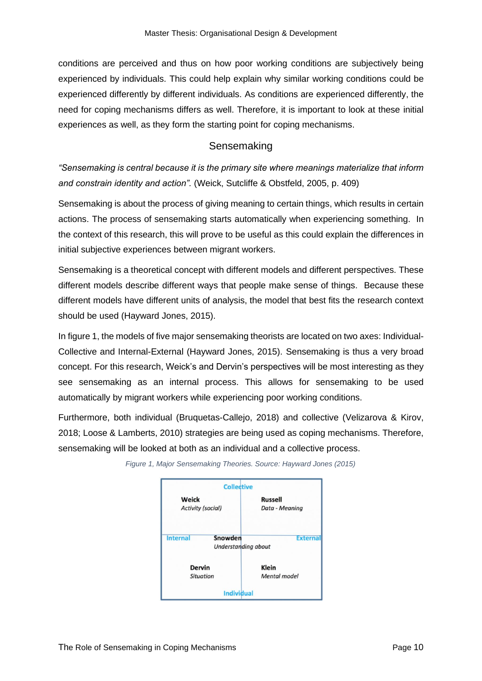conditions are perceived and thus on how poor working conditions are subjectively being experienced by individuals. This could help explain why similar working conditions could be experienced differently by different individuals. As conditions are experienced differently, the need for coping mechanisms differs as well. Therefore, it is important to look at these initial experiences as well, as they form the starting point for coping mechanisms.

#### **Sensemaking**

<span id="page-13-0"></span>*"Sensemaking is central because it is the primary site where meanings materialize that inform and constrain identity and action".* (Weick, Sutcliffe & Obstfeld, 2005, p. 409)

Sensemaking is about the process of giving meaning to certain things, which results in certain actions. The process of sensemaking starts automatically when experiencing something. In the context of this research, this will prove to be useful as this could explain the differences in initial subjective experiences between migrant workers.

Sensemaking is a theoretical concept with different models and different perspectives. These different models describe different ways that people make sense of things. Because these different models have different units of analysis, the model that best fits the research context should be used (Hayward Jones, 2015).

In figure 1, the models of five major sensemaking theorists are located on two axes: Individual-Collective and Internal-External (Hayward Jones, 2015). Sensemaking is thus a very broad concept. For this research, Weick's and Dervin's perspectives will be most interesting as they see sensemaking as an internal process. This allows for sensemaking to be used automatically by migrant workers while experiencing poor working conditions.

Furthermore, both individual (Bruquetas-Callejo, 2018) and collective (Velizarova & Kirov, 2018; Loose & Lamberts, 2010) strategies are being used as coping mechanisms. Therefore, sensemaking will be looked at both as an individual and a collective process.



*Figure 1, Major Sensemaking Theories. Source: Hayward Jones (2015)*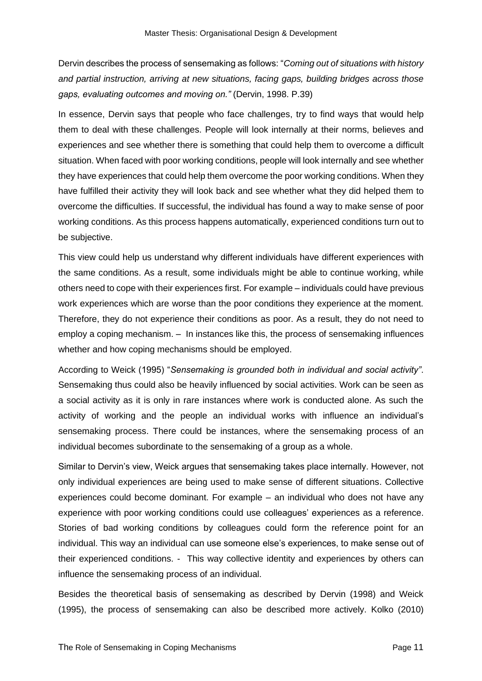Dervin describes the process of sensemaking as follows: "*Coming out of situations with history and partial instruction, arriving at new situations, facing gaps, building bridges across those gaps, evaluating outcomes and moving on."* (Dervin, 1998. P.39)

In essence, Dervin says that people who face challenges, try to find ways that would help them to deal with these challenges. People will look internally at their norms, believes and experiences and see whether there is something that could help them to overcome a difficult situation. When faced with poor working conditions, people will look internally and see whether they have experiences that could help them overcome the poor working conditions. When they have fulfilled their activity they will look back and see whether what they did helped them to overcome the difficulties. If successful, the individual has found a way to make sense of poor working conditions. As this process happens automatically, experienced conditions turn out to be subjective.

This view could help us understand why different individuals have different experiences with the same conditions. As a result, some individuals might be able to continue working, while others need to cope with their experiences first. For example – individuals could have previous work experiences which are worse than the poor conditions they experience at the moment. Therefore, they do not experience their conditions as poor. As a result, they do not need to employ a coping mechanism. – In instances like this, the process of sensemaking influences whether and how coping mechanisms should be employed.

According to Weick (1995) "*Sensemaking is grounded both in individual and social activity"*. Sensemaking thus could also be heavily influenced by social activities. Work can be seen as a social activity as it is only in rare instances where work is conducted alone. As such the activity of working and the people an individual works with influence an individual's sensemaking process. There could be instances, where the sensemaking process of an individual becomes subordinate to the sensemaking of a group as a whole.

Similar to Dervin's view, Weick argues that sensemaking takes place internally. However, not only individual experiences are being used to make sense of different situations. Collective experiences could become dominant. For example – an individual who does not have any experience with poor working conditions could use colleagues' experiences as a reference. Stories of bad working conditions by colleagues could form the reference point for an individual. This way an individual can use someone else's experiences, to make sense out of their experienced conditions. - This way collective identity and experiences by others can influence the sensemaking process of an individual.

Besides the theoretical basis of sensemaking as described by Dervin (1998) and Weick (1995), the process of sensemaking can also be described more actively. Kolko (2010)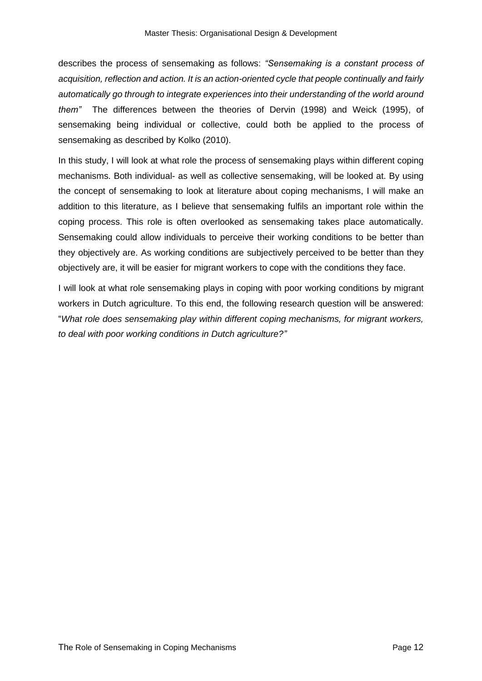describes the process of sensemaking as follows: *"Sensemaking is a constant process of acquisition, reflection and action. It is an action-oriented cycle that people continually and fairly automatically go through to integrate experiences into their understanding of the world around them"* The differences between the theories of Dervin (1998) and Weick (1995), of sensemaking being individual or collective, could both be applied to the process of sensemaking as described by Kolko (2010).

In this study, I will look at what role the process of sensemaking plays within different coping mechanisms. Both individual- as well as collective sensemaking, will be looked at. By using the concept of sensemaking to look at literature about coping mechanisms, I will make an addition to this literature, as I believe that sensemaking fulfils an important role within the coping process. This role is often overlooked as sensemaking takes place automatically. Sensemaking could allow individuals to perceive their working conditions to be better than they objectively are. As working conditions are subjectively perceived to be better than they objectively are, it will be easier for migrant workers to cope with the conditions they face.

I will look at what role sensemaking plays in coping with poor working conditions by migrant workers in Dutch agriculture. To this end, the following research question will be answered: "*What role does sensemaking play within different coping mechanisms, for migrant workers, to deal with poor working conditions in Dutch agriculture?"*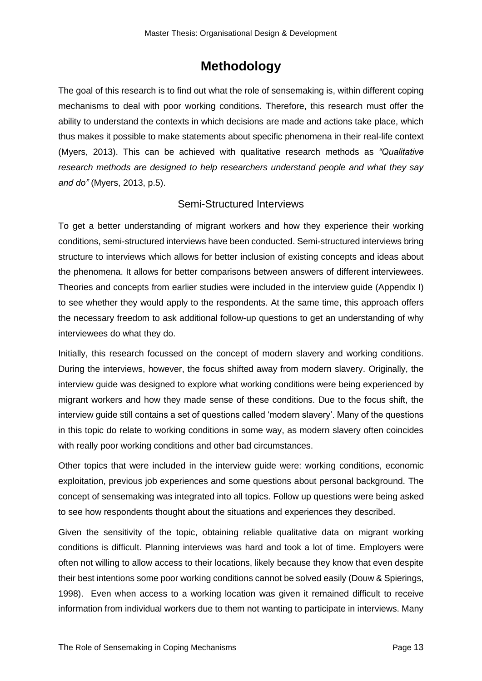## **Methodology**

<span id="page-16-0"></span>The goal of this research is to find out what the role of sensemaking is, within different coping mechanisms to deal with poor working conditions. Therefore, this research must offer the ability to understand the contexts in which decisions are made and actions take place, which thus makes it possible to make statements about specific phenomena in their real-life context (Myers, 2013). This can be achieved with qualitative research methods as *"Qualitative research methods are designed to help researchers understand people and what they say and do"* (Myers, 2013, p.5).

#### Semi-Structured Interviews

<span id="page-16-1"></span>To get a better understanding of migrant workers and how they experience their working conditions, semi-structured interviews have been conducted. Semi-structured interviews bring structure to interviews which allows for better inclusion of existing concepts and ideas about the phenomena. It allows for better comparisons between answers of different interviewees. Theories and concepts from earlier studies were included in the interview guide (Appendix I) to see whether they would apply to the respondents. At the same time, this approach offers the necessary freedom to ask additional follow-up questions to get an understanding of why interviewees do what they do.

Initially, this research focussed on the concept of modern slavery and working conditions. During the interviews, however, the focus shifted away from modern slavery. Originally, the interview guide was designed to explore what working conditions were being experienced by migrant workers and how they made sense of these conditions. Due to the focus shift, the interview guide still contains a set of questions called 'modern slavery'. Many of the questions in this topic do relate to working conditions in some way, as modern slavery often coincides with really poor working conditions and other bad circumstances.

Other topics that were included in the interview guide were: working conditions, economic exploitation, previous job experiences and some questions about personal background. The concept of sensemaking was integrated into all topics. Follow up questions were being asked to see how respondents thought about the situations and experiences they described.

Given the sensitivity of the topic, obtaining reliable qualitative data on migrant working conditions is difficult. Planning interviews was hard and took a lot of time. Employers were often not willing to allow access to their locations, likely because they know that even despite their best intentions some poor working conditions cannot be solved easily (Douw & Spierings, 1998). Even when access to a working location was given it remained difficult to receive information from individual workers due to them not wanting to participate in interviews. Many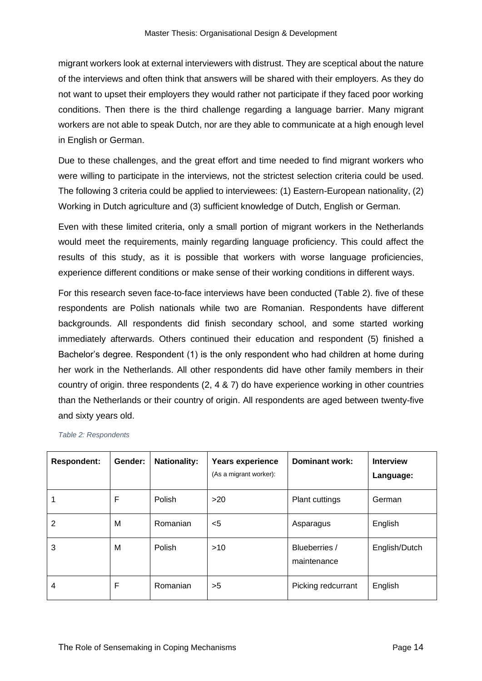migrant workers look at external interviewers with distrust. They are sceptical about the nature of the interviews and often think that answers will be shared with their employers. As they do not want to upset their employers they would rather not participate if they faced poor working conditions. Then there is the third challenge regarding a language barrier. Many migrant workers are not able to speak Dutch, nor are they able to communicate at a high enough level in English or German.

Due to these challenges, and the great effort and time needed to find migrant workers who were willing to participate in the interviews, not the strictest selection criteria could be used. The following 3 criteria could be applied to interviewees: (1) Eastern-European nationality, (2) Working in Dutch agriculture and (3) sufficient knowledge of Dutch, English or German.

Even with these limited criteria, only a small portion of migrant workers in the Netherlands would meet the requirements, mainly regarding language proficiency. This could affect the results of this study, as it is possible that workers with worse language proficiencies, experience different conditions or make sense of their working conditions in different ways.

For this research seven face-to-face interviews have been conducted (Table 2). five of these respondents are Polish nationals while two are Romanian. Respondents have different backgrounds. All respondents did finish secondary school, and some started working immediately afterwards. Others continued their education and respondent (5) finished a Bachelor's degree. Respondent (1) is the only respondent who had children at home during her work in the Netherlands. All other respondents did have other family members in their country of origin. three respondents (2, 4 & 7) do have experience working in other countries than the Netherlands or their country of origin. All respondents are aged between twenty-five and sixty years old.

| <b>Respondent:</b> | Gender: | <b>Nationality:</b> | <b>Years experience</b><br>(As a migrant worker): | Dominant work:               | <b>Interview</b><br>Language: |
|--------------------|---------|---------------------|---------------------------------------------------|------------------------------|-------------------------------|
|                    | F       | Polish              | >20                                               | <b>Plant cuttings</b>        | German                        |
| 2                  | M       | Romanian            | $<$ 5                                             | Asparagus                    | English                       |
| 3                  | M       | Polish              | $>10$                                             | Blueberries /<br>maintenance | English/Dutch                 |
| 4                  | F       | Romanian            | >5                                                | Picking redcurrant           | English                       |

*Table 2: Respondents*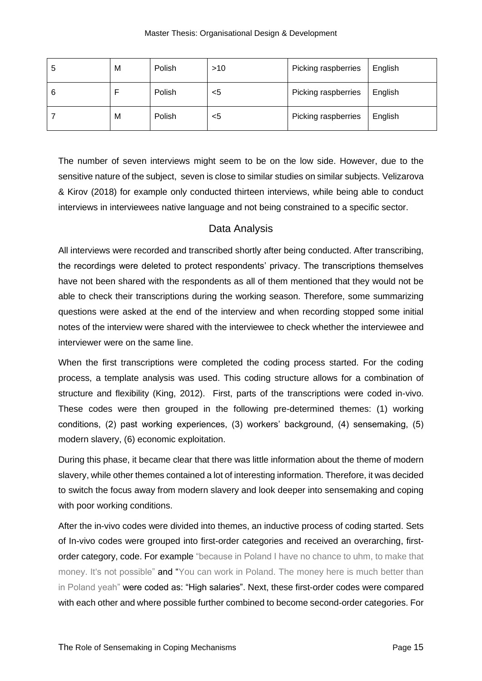| Э | M | Polish | >10 | Picking raspberries | English |
|---|---|--------|-----|---------------------|---------|
|   |   | Polish | <5  | Picking raspberries | English |
|   | M | Polish | <5  | Picking raspberries | English |

The number of seven interviews might seem to be on the low side. However, due to the sensitive nature of the subject, seven is close to similar studies on similar subjects. Velizarova & Kirov (2018) for example only conducted thirteen interviews, while being able to conduct interviews in interviewees native language and not being constrained to a specific sector.

#### Data Analysis

<span id="page-18-0"></span>All interviews were recorded and transcribed shortly after being conducted. After transcribing, the recordings were deleted to protect respondents' privacy. The transcriptions themselves have not been shared with the respondents as all of them mentioned that they would not be able to check their transcriptions during the working season. Therefore, some summarizing questions were asked at the end of the interview and when recording stopped some initial notes of the interview were shared with the interviewee to check whether the interviewee and interviewer were on the same line.

When the first transcriptions were completed the coding process started. For the coding process, a template analysis was used. This coding structure allows for a combination of structure and flexibility (King, 2012). First, parts of the transcriptions were coded in-vivo. These codes were then grouped in the following pre-determined themes: (1) working conditions, (2) past working experiences, (3) workers' background, (4) sensemaking, (5) modern slavery, (6) economic exploitation.

During this phase, it became clear that there was little information about the theme of modern slavery, while other themes contained a lot of interesting information. Therefore, it was decided to switch the focus away from modern slavery and look deeper into sensemaking and coping with poor working conditions.

After the in-vivo codes were divided into themes, an inductive process of coding started. Sets of In-vivo codes were grouped into first-order categories and received an overarching, firstorder category, code. For example "because in Poland I have no chance to uhm, to make that money. It's not possible" and "You can work in Poland. The money here is much better than in Poland yeah" were coded as: "High salaries". Next, these first-order codes were compared with each other and where possible further combined to become second-order categories. For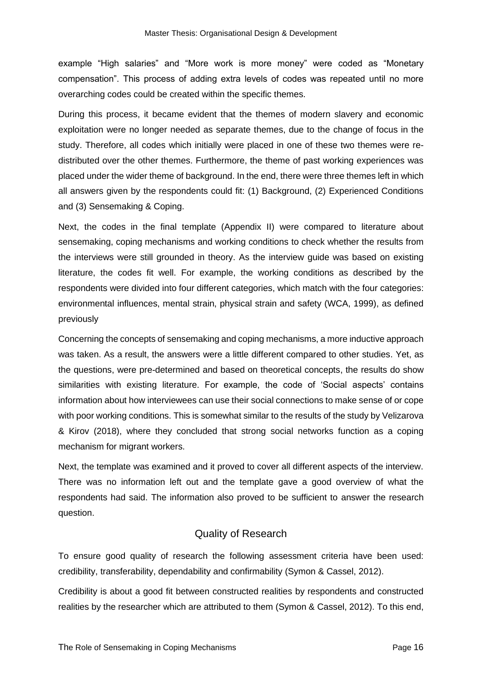example "High salaries" and "More work is more money" were coded as "Monetary compensation". This process of adding extra levels of codes was repeated until no more overarching codes could be created within the specific themes.

During this process, it became evident that the themes of modern slavery and economic exploitation were no longer needed as separate themes, due to the change of focus in the study. Therefore, all codes which initially were placed in one of these two themes were redistributed over the other themes. Furthermore, the theme of past working experiences was placed under the wider theme of background. In the end, there were three themes left in which all answers given by the respondents could fit: (1) Background, (2) Experienced Conditions and (3) Sensemaking & Coping.

Next, the codes in the final template (Appendix II) were compared to literature about sensemaking, coping mechanisms and working conditions to check whether the results from the interviews were still grounded in theory. As the interview guide was based on existing literature, the codes fit well. For example, the working conditions as described by the respondents were divided into four different categories, which match with the four categories: environmental influences, mental strain, physical strain and safety (WCA, 1999), as defined previously

Concerning the concepts of sensemaking and coping mechanisms, a more inductive approach was taken. As a result, the answers were a little different compared to other studies. Yet, as the questions, were pre-determined and based on theoretical concepts, the results do show similarities with existing literature. For example, the code of 'Social aspects' contains information about how interviewees can use their social connections to make sense of or cope with poor working conditions. This is somewhat similar to the results of the study by Velizarova & Kirov (2018), where they concluded that strong social networks function as a coping mechanism for migrant workers.

Next, the template was examined and it proved to cover all different aspects of the interview. There was no information left out and the template gave a good overview of what the respondents had said. The information also proved to be sufficient to answer the research question.

#### Quality of Research

<span id="page-19-0"></span>To ensure good quality of research the following assessment criteria have been used: credibility, transferability, dependability and confirmability (Symon & Cassel, 2012).

Credibility is about a good fit between constructed realities by respondents and constructed realities by the researcher which are attributed to them (Symon & Cassel, 2012). To this end,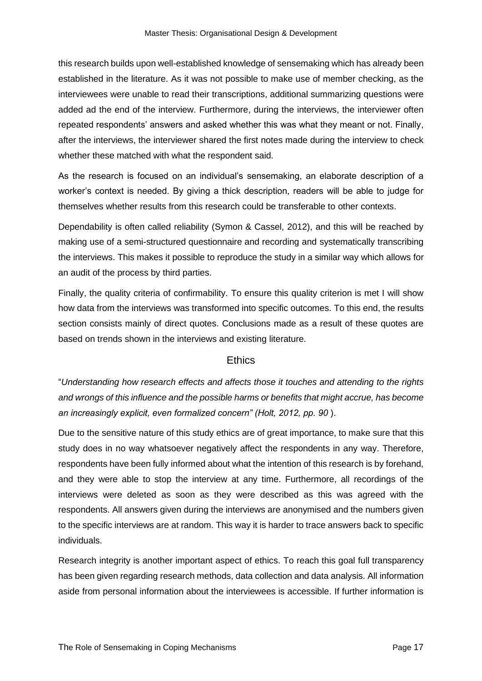this research builds upon well-established knowledge of sensemaking which has already been established in the literature. As it was not possible to make use of member checking, as the interviewees were unable to read their transcriptions, additional summarizing questions were added ad the end of the interview. Furthermore, during the interviews, the interviewer often repeated respondents' answers and asked whether this was what they meant or not. Finally, after the interviews, the interviewer shared the first notes made during the interview to check whether these matched with what the respondent said.

As the research is focused on an individual's sensemaking, an elaborate description of a worker's context is needed. By giving a thick description, readers will be able to judge for themselves whether results from this research could be transferable to other contexts.

Dependability is often called reliability (Symon & Cassel, 2012), and this will be reached by making use of a semi-structured questionnaire and recording and systematically transcribing the interviews. This makes it possible to reproduce the study in a similar way which allows for an audit of the process by third parties.

Finally, the quality criteria of confirmability. To ensure this quality criterion is met I will show how data from the interviews was transformed into specific outcomes. To this end, the results section consists mainly of direct quotes. Conclusions made as a result of these quotes are based on trends shown in the interviews and existing literature.

#### **Ethics**

<span id="page-20-0"></span>"*Understanding how research effects and affects those it touches and attending to the rights and wrongs of this influence and the possible harms or benefits that might accrue, has become an increasingly explicit, even formalized concern" (Holt, 2012, pp. 90* ).

Due to the sensitive nature of this study ethics are of great importance, to make sure that this study does in no way whatsoever negatively affect the respondents in any way. Therefore, respondents have been fully informed about what the intention of this research is by forehand, and they were able to stop the interview at any time. Furthermore, all recordings of the interviews were deleted as soon as they were described as this was agreed with the respondents. All answers given during the interviews are anonymised and the numbers given to the specific interviews are at random. This way it is harder to trace answers back to specific individuals.

Research integrity is another important aspect of ethics. To reach this goal full transparency has been given regarding research methods, data collection and data analysis. All information aside from personal information about the interviewees is accessible. If further information is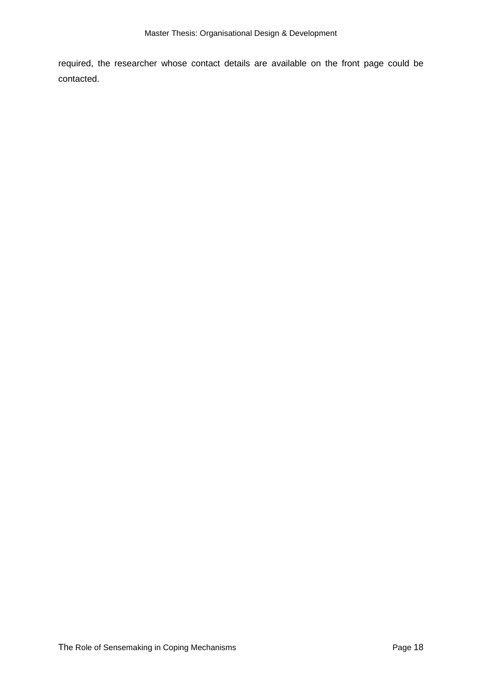required, the researcher whose contact details are available on the front page could be contacted.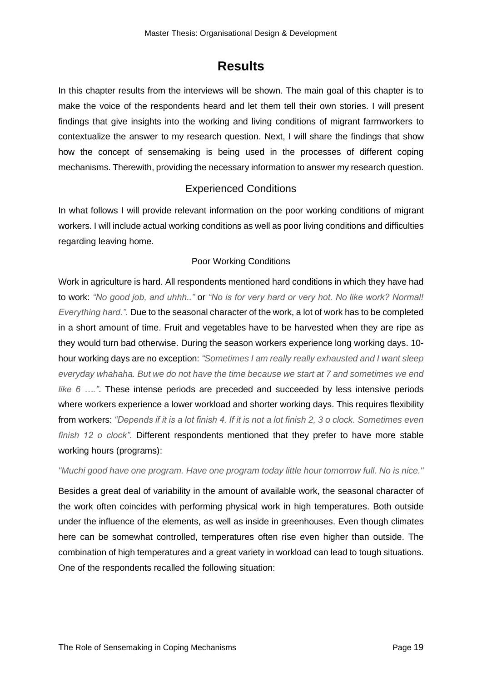## **Results**

<span id="page-22-0"></span>In this chapter results from the interviews will be shown. The main goal of this chapter is to make the voice of the respondents heard and let them tell their own stories. I will present findings that give insights into the working and living conditions of migrant farmworkers to contextualize the answer to my research question. Next, I will share the findings that show how the concept of sensemaking is being used in the processes of different coping mechanisms. Therewith, providing the necessary information to answer my research question.

#### Experienced Conditions

<span id="page-22-1"></span>In what follows I will provide relevant information on the poor working conditions of migrant workers. I will include actual working conditions as well as poor living conditions and difficulties regarding leaving home.

#### Poor Working Conditions

<span id="page-22-2"></span>Work in agriculture is hard. All respondents mentioned hard conditions in which they have had to work: *"No good job, and uhhh.."* or *"No is for very hard or very hot. No like work? Normal! Everything hard.".* Due to the seasonal character of the work, a lot of work has to be completed in a short amount of time. Fruit and vegetables have to be harvested when they are ripe as they would turn bad otherwise. During the season workers experience long working days. 10 hour working days are no exception: *"Sometimes I am really really exhausted and I want sleep everyday whahaha. But we do not have the time because we start at 7 and sometimes we end like 6 …."*. These intense periods are preceded and succeeded by less intensive periods where workers experience a lower workload and shorter working days. This requires flexibility from workers: *"Depends if it is a lot finish 4. If it is not a lot finish 2, 3 o clock. Sometimes even finish 12 o clock".* Different respondents mentioned that they prefer to have more stable working hours (programs):

*"Muchi good have one program. Have one program today little hour tomorrow full. No is nice."*

Besides a great deal of variability in the amount of available work, the seasonal character of the work often coincides with performing physical work in high temperatures. Both outside under the influence of the elements, as well as inside in greenhouses. Even though climates here can be somewhat controlled, temperatures often rise even higher than outside. The combination of high temperatures and a great variety in workload can lead to tough situations. One of the respondents recalled the following situation: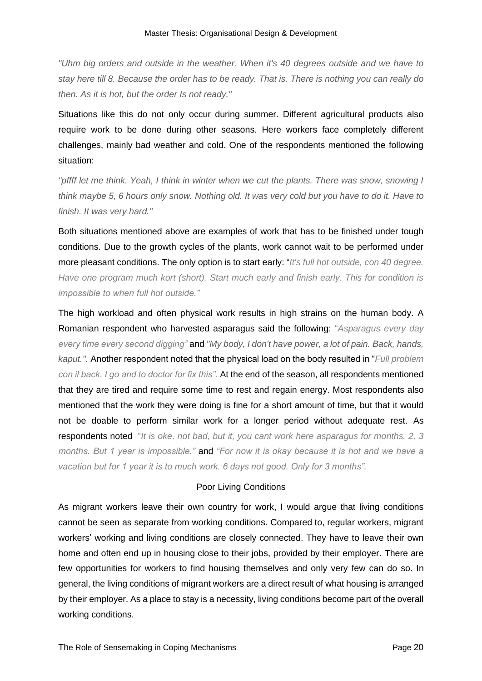*"Uhm big orders and outside in the weather. When it's 40 degrees outside and we have to stay here till 8. Because the order has to be ready. That is. There is nothing you can really do then. As it is hot, but the order Is not ready."*

Situations like this do not only occur during summer. Different agricultural products also require work to be done during other seasons. Here workers face completely different challenges, mainly bad weather and cold. One of the respondents mentioned the following situation:

*"pffff let me think. Yeah, I think in winter when we cut the plants. There was snow, snowing I think maybe 5, 6 hours only snow. Nothing old. It was very cold but you have to do it. Have to finish. It was very hard."*

Both situations mentioned above are examples of work that has to be finished under tough conditions. Due to the growth cycles of the plants, work cannot wait to be performed under more pleasant conditions. The only option is to start early: "*It's full hot outside, con 40 degree. Have one program much kort (short). Start much early and finish early. This for condition is impossible to when full hot outside."*

The high workload and often physical work results in high strains on the human body. A Romanian respondent who harvested asparagus said the following: "*Asparagus every day every time every second digging"* and *"My body, I don't have power, a lot of pain. Back, hands, kaput.".* Another respondent noted that the physical load on the body resulted in "*Full problem con il back. I go and to doctor for fix this".* At the end of the season, all respondents mentioned that they are tired and require some time to rest and regain energy. Most respondents also mentioned that the work they were doing is fine for a short amount of time, but that it would not be doable to perform similar work for a longer period without adequate rest. As respondents noted "*It is oke, not bad, but it, you cant work here asparagus for months. 2, 3 months. But 1 year is impossible."* and *"For now it is okay because it is hot and we have a vacation but for 1 year it is to much work. 6 days not good. Only for 3 months".*

#### Poor Living Conditions

<span id="page-23-0"></span>As migrant workers leave their own country for work, I would argue that living conditions cannot be seen as separate from working conditions. Compared to, regular workers, migrant workers' working and living conditions are closely connected. They have to leave their own home and often end up in housing close to their jobs, provided by their employer. There are few opportunities for workers to find housing themselves and only very few can do so. In general, the living conditions of migrant workers are a direct result of what housing is arranged by their employer. As a place to stay is a necessity, living conditions become part of the overall working conditions.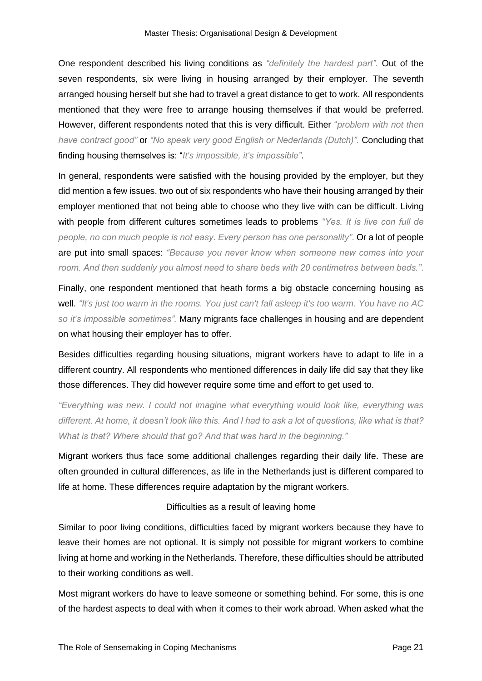One respondent described his living conditions as *"definitely the hardest part".* Out of the seven respondents, six were living in housing arranged by their employer. The seventh arranged housing herself but she had to travel a great distance to get to work. All respondents mentioned that they were free to arrange housing themselves if that would be preferred. However, different respondents noted that this is very difficult. Either "*problem with not then have contract good"* or *"No speak very good English or Nederlands (Dutch)".* Concluding that finding housing themselves is: "*It's impossible, it's impossible"*.

In general, respondents were satisfied with the housing provided by the employer, but they did mention a few issues. two out of six respondents who have their housing arranged by their employer mentioned that not being able to choose who they live with can be difficult. Living with people from different cultures sometimes leads to problems *"Yes. It is live con full de people, no con much people is not easy. Every person has one personality"*. Or a lot of people are put into small spaces: *"Because you never know when someone new comes into your room. And then suddenly you almost need to share beds with 20 centimetres between beds."*.

Finally, one respondent mentioned that heath forms a big obstacle concerning housing as well. *"It's just too warm in the rooms. You just can't fall asleep it's too warm. You have no AC so it's impossible sometimes".* Many migrants face challenges in housing and are dependent on what housing their employer has to offer.

Besides difficulties regarding housing situations, migrant workers have to adapt to life in a different country. All respondents who mentioned differences in daily life did say that they like those differences. They did however require some time and effort to get used to.

*"Everything was new. I could not imagine what everything would look like, everything was different. At home, it doesn't look like this. And I had to ask a lot of questions, like what is that? What is that? Where should that go? And that was hard in the beginning."*

Migrant workers thus face some additional challenges regarding their daily life. These are often grounded in cultural differences, as life in the Netherlands just is different compared to life at home. These differences require adaptation by the migrant workers.

#### Difficulties as a result of leaving home

<span id="page-24-0"></span>Similar to poor living conditions, difficulties faced by migrant workers because they have to leave their homes are not optional. It is simply not possible for migrant workers to combine living at home and working in the Netherlands. Therefore, these difficulties should be attributed to their working conditions as well.

Most migrant workers do have to leave someone or something behind. For some, this is one of the hardest aspects to deal with when it comes to their work abroad. When asked what the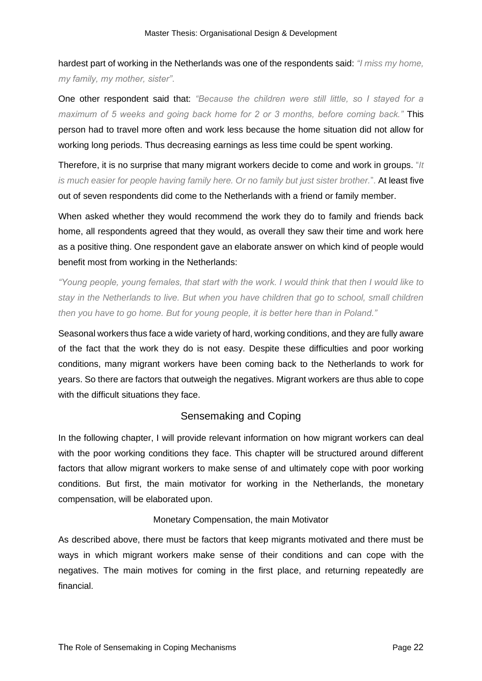hardest part of working in the Netherlands was one of the respondents said: *"I miss my home, my family, my mother, sister"*.

One other respondent said that: *"Because the children were still little, so I stayed for a maximum of 5 weeks and going back home for 2 or 3 months, before coming back."* This person had to travel more often and work less because the home situation did not allow for working long periods. Thus decreasing earnings as less time could be spent working.

Therefore, it is no surprise that many migrant workers decide to come and work in groups. "*It is much easier for people having family here. Or no family but just sister brother.*". At least five out of seven respondents did come to the Netherlands with a friend or family member.

When asked whether they would recommend the work they do to family and friends back home, all respondents agreed that they would, as overall they saw their time and work here as a positive thing. One respondent gave an elaborate answer on which kind of people would benefit most from working in the Netherlands:

*"Young people, young females, that start with the work. I would think that then I would like to stay in the Netherlands to live. But when you have children that go to school, small children then you have to go home. But for young people, it is better here than in Poland."*

Seasonal workers thus face a wide variety of hard, working conditions, and they are fully aware of the fact that the work they do is not easy. Despite these difficulties and poor working conditions, many migrant workers have been coming back to the Netherlands to work for years. So there are factors that outweigh the negatives. Migrant workers are thus able to cope with the difficult situations they face.

#### Sensemaking and Coping

<span id="page-25-0"></span>In the following chapter, I will provide relevant information on how migrant workers can deal with the poor working conditions they face. This chapter will be structured around different factors that allow migrant workers to make sense of and ultimately cope with poor working conditions. But first, the main motivator for working in the Netherlands, the monetary compensation, will be elaborated upon.

#### Monetary Compensation, the main Motivator

<span id="page-25-1"></span>As described above, there must be factors that keep migrants motivated and there must be ways in which migrant workers make sense of their conditions and can cope with the negatives. The main motives for coming in the first place, and returning repeatedly are financial.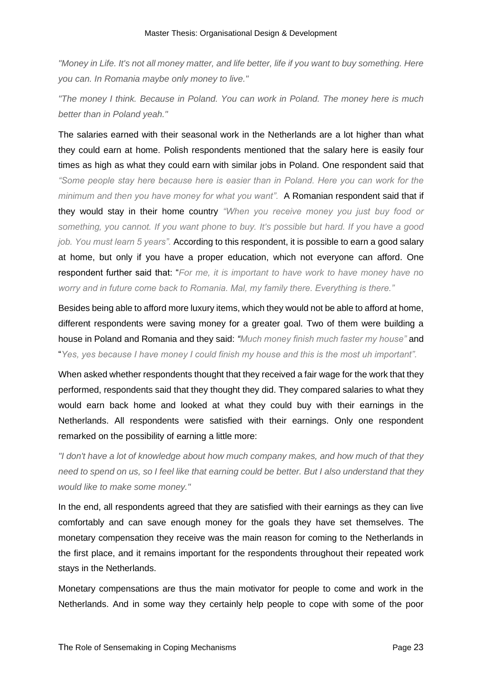*"Money in Life. It's not all money matter, and life better, life if you want to buy something. Here you can. In Romania maybe only money to live."*

*"The money I think. Because in Poland. You can work in Poland. The money here is much better than in Poland yeah."*

The salaries earned with their seasonal work in the Netherlands are a lot higher than what they could earn at home. Polish respondents mentioned that the salary here is easily four times as high as what they could earn with similar jobs in Poland. One respondent said that *"Some people stay here because here is easier than in Poland. Here you can work for the minimum and then you have money for what you want".* A Romanian respondent said that if they would stay in their home country *"When you receive money you just buy food or something, you cannot. If you want phone to buy. It's possible but hard. If you have a good job. You must learn 5 years".* According to this respondent, it is possible to earn a good salary at home, but only if you have a proper education, which not everyone can afford. One respondent further said that: "*For me, it is important to have work to have money have no worry and in future come back to Romania. Mal, my family there. Everything is there."*

Besides being able to afford more luxury items, which they would not be able to afford at home, different respondents were saving money for a greater goal. Two of them were building a house in Poland and Romania and they said: *"Much money finish much faster my house"* and "*Yes, yes because I have money I could finish my house and this is the most uh important".* 

When asked whether respondents thought that they received a fair wage for the work that they performed, respondents said that they thought they did. They compared salaries to what they would earn back home and looked at what they could buy with their earnings in the Netherlands. All respondents were satisfied with their earnings. Only one respondent remarked on the possibility of earning a little more:

*"I don't have a lot of knowledge about how much company makes, and how much of that they need to spend on us, so I feel like that earning could be better. But I also understand that they would like to make some money."*

In the end, all respondents agreed that they are satisfied with their earnings as they can live comfortably and can save enough money for the goals they have set themselves. The monetary compensation they receive was the main reason for coming to the Netherlands in the first place, and it remains important for the respondents throughout their repeated work stays in the Netherlands.

Monetary compensations are thus the main motivator for people to come and work in the Netherlands. And in some way they certainly help people to cope with some of the poor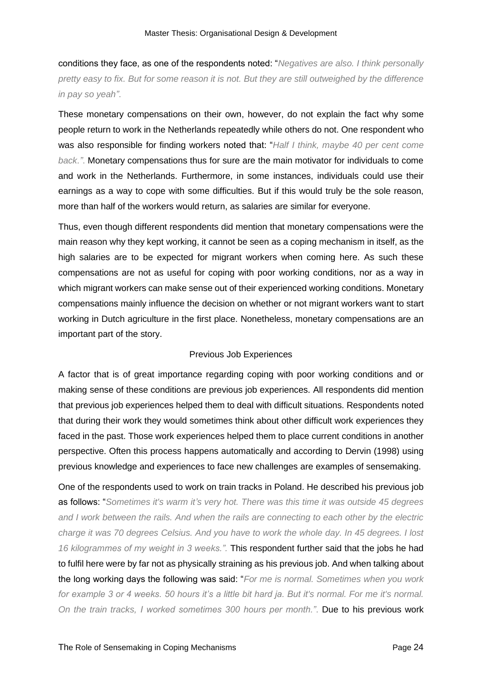conditions they face, as one of the respondents noted: "*Negatives are also. I think personally pretty easy to fix. But for some reason it is not. But they are still outweighed by the difference in pay so yeah"*.

These monetary compensations on their own, however, do not explain the fact why some people return to work in the Netherlands repeatedly while others do not. One respondent who was also responsible for finding workers noted that: "*Half I think, maybe 40 per cent come back."*. Monetary compensations thus for sure are the main motivator for individuals to come and work in the Netherlands. Furthermore, in some instances, individuals could use their earnings as a way to cope with some difficulties. But if this would truly be the sole reason, more than half of the workers would return, as salaries are similar for everyone.

Thus, even though different respondents did mention that monetary compensations were the main reason why they kept working, it cannot be seen as a coping mechanism in itself, as the high salaries are to be expected for migrant workers when coming here. As such these compensations are not as useful for coping with poor working conditions, nor as a way in which migrant workers can make sense out of their experienced working conditions. Monetary compensations mainly influence the decision on whether or not migrant workers want to start working in Dutch agriculture in the first place. Nonetheless, monetary compensations are an important part of the story.

#### Previous Job Experiences

<span id="page-27-0"></span>A factor that is of great importance regarding coping with poor working conditions and or making sense of these conditions are previous job experiences. All respondents did mention that previous job experiences helped them to deal with difficult situations. Respondents noted that during their work they would sometimes think about other difficult work experiences they faced in the past. Those work experiences helped them to place current conditions in another perspective. Often this process happens automatically and according to Dervin (1998) using previous knowledge and experiences to face new challenges are examples of sensemaking.

One of the respondents used to work on train tracks in Poland. He described his previous job as follows: "*Sometimes it's warm it's very hot. There was this time it was outside 45 degrees and I work between the rails. And when the rails are connecting to each other by the electric charge it was 70 degrees Celsius. And you have to work the whole day. In 45 degrees. I lost 16 kilogrammes of my weight in 3 weeks.".* This respondent further said that the jobs he had to fulfil here were by far not as physically straining as his previous job. And when talking about the long working days the following was said: "*For me is normal. Sometimes when you work for example 3 or 4 weeks. 50 hours it's a little bit hard ja. But it's normal. For me it's normal. On the train tracks, I worked sometimes 300 hours per month."*. Due to his previous work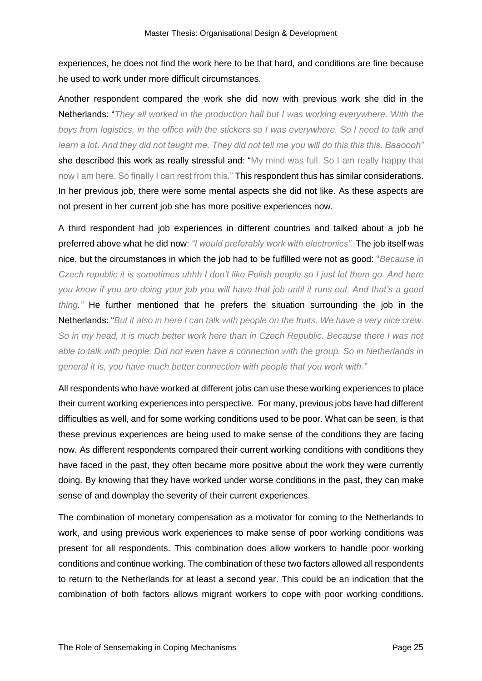experiences, he does not find the work here to be that hard, and conditions are fine because he used to work under more difficult circumstances.

Another respondent compared the work she did now with previous work she did in the Netherlands: "*They all worked in the production hall but I was working everywhere. With the boys from logistics, in the office with the stickers so I was everywhere. So I need to talk and learn a lot. And they did not taught me. They did not tell me you will do this this this. Baaoooh"* she described this work as really stressful and: "My mind was full. So I am really happy that now I am here. So finally I can rest from this." This respondent thus has similar considerations. In her previous job, there were some mental aspects she did not like. As these aspects are not present in her current job she has more positive experiences now.

A third respondent had job experiences in different countries and talked about a job he preferred above what he did now: *"I would preferably work with electronics".* The job itself was nice, but the circumstances in which the job had to be fulfilled were not as good: "*Because in Czech republic it is sometimes uhhh I don't like Polish people so I just let them go. And here you know if you are doing your job you will have that job until it runs out. And that's a good thing."* He further mentioned that he prefers the situation surrounding the job in the Netherlands: "*But it also in here I can talk with people on the fruits. We have a very nice crew. So in my head, it is much better work here than in Czech Republic. Because there I was not able to talk with people. Did not even have a connection with the group. So in Netherlands in general it is, you have much better connection with people that you work with."*

All respondents who have worked at different jobs can use these working experiences to place their current working experiences into perspective. For many, previous jobs have had different difficulties as well, and for some working conditions used to be poor. What can be seen, is that these previous experiences are being used to make sense of the conditions they are facing now. As different respondents compared their current working conditions with conditions they have faced in the past, they often became more positive about the work they were currently doing. By knowing that they have worked under worse conditions in the past, they can make sense of and downplay the severity of their current experiences.

The combination of monetary compensation as a motivator for coming to the Netherlands to work, and using previous work experiences to make sense of poor working conditions was present for all respondents. This combination does allow workers to handle poor working conditions and continue working. The combination of these two factors allowed all respondents to return to the Netherlands for at least a second year. This could be an indication that the combination of both factors allows migrant workers to cope with poor working conditions.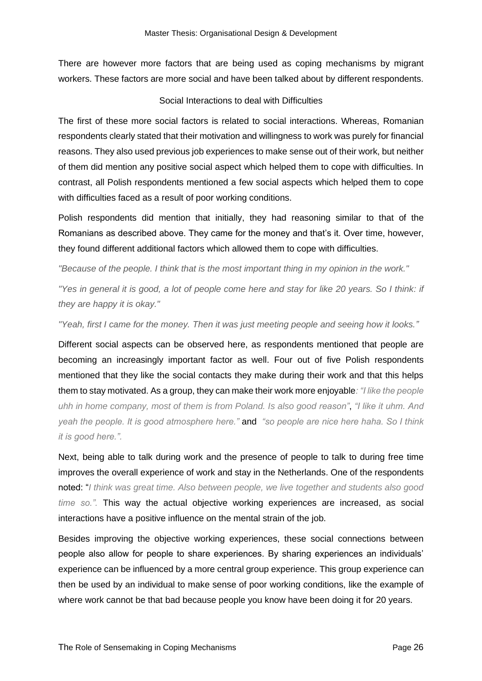There are however more factors that are being used as coping mechanisms by migrant workers. These factors are more social and have been talked about by different respondents.

#### Social Interactions to deal with Difficulties

<span id="page-29-0"></span>The first of these more social factors is related to social interactions. Whereas, Romanian respondents clearly stated that their motivation and willingness to work was purely for financial reasons. They also used previous job experiences to make sense out of their work, but neither of them did mention any positive social aspect which helped them to cope with difficulties. In contrast, all Polish respondents mentioned a few social aspects which helped them to cope with difficulties faced as a result of poor working conditions.

Polish respondents did mention that initially, they had reasoning similar to that of the Romanians as described above. They came for the money and that's it. Over time, however, they found different additional factors which allowed them to cope with difficulties.

*"Because of the people. I think that is the most important thing in my opinion in the work."*

*"Yes in general it is good, a lot of people come here and stay for like 20 years. So I think: if they are happy it is okay."*

*"Yeah, first I came for the money. Then it was just meeting people and seeing how it looks."*

Different social aspects can be observed here, as respondents mentioned that people are becoming an increasingly important factor as well. Four out of five Polish respondents mentioned that they like the social contacts they make during their work and that this helps them to stay motivated. As a group, they can make their work more enjoyable*: "I like the people uhh in home company, most of them is from Poland. Is also good reason"*, *"I like it uhm. And yeah the people. It is good atmosphere here."* and *"so people are nice here haha. So I think it is good here.".*

Next, being able to talk during work and the presence of people to talk to during free time improves the overall experience of work and stay in the Netherlands. One of the respondents noted: "*I think was great time. Also between people, we live together and students also good time so.".* This way the actual objective working experiences are increased, as social interactions have a positive influence on the mental strain of the job.

Besides improving the objective working experiences, these social connections between people also allow for people to share experiences. By sharing experiences an individuals' experience can be influenced by a more central group experience. This group experience can then be used by an individual to make sense of poor working conditions, like the example of where work cannot be that bad because people you know have been doing it for 20 years.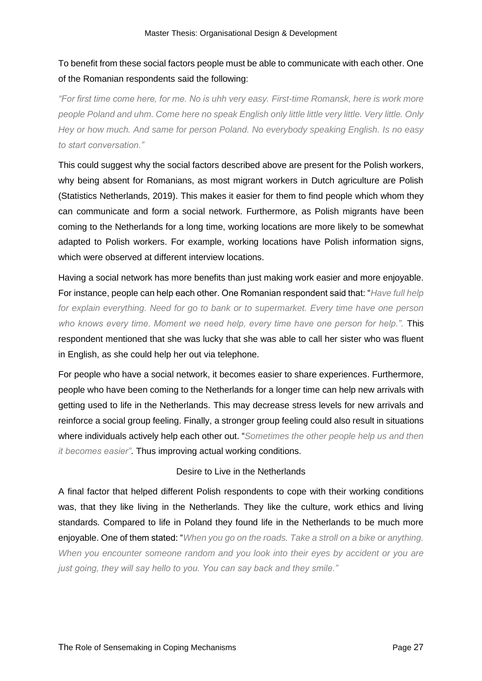#### To benefit from these social factors people must be able to communicate with each other. One of the Romanian respondents said the following:

*"For first time come here, for me. No is uhh very easy. First-time Romansk, here is work more people Poland and uhm. Come here no speak English only little little very little. Very little. Only Hey or how much. And same for person Poland. No everybody speaking English. Is no easy to start conversation."*

This could suggest why the social factors described above are present for the Polish workers, why being absent for Romanians, as most migrant workers in Dutch agriculture are Polish (Statistics Netherlands, 2019). This makes it easier for them to find people which whom they can communicate and form a social network. Furthermore, as Polish migrants have been coming to the Netherlands for a long time, working locations are more likely to be somewhat adapted to Polish workers. For example, working locations have Polish information signs, which were observed at different interview locations.

Having a social network has more benefits than just making work easier and more enjoyable. For instance, people can help each other. One Romanian respondent said that: "*Have full help for explain everything. Need for go to bank or to supermarket. Every time have one person who knows every time. Moment we need help, every time have one person for help.".* This respondent mentioned that she was lucky that she was able to call her sister who was fluent in English, as she could help her out via telephone.

For people who have a social network, it becomes easier to share experiences. Furthermore, people who have been coming to the Netherlands for a longer time can help new arrivals with getting used to life in the Netherlands. This may decrease stress levels for new arrivals and reinforce a social group feeling. Finally, a stronger group feeling could also result in situations where individuals actively help each other out. "*Sometimes the other people help us and then it becomes easier"*. Thus improving actual working conditions.

#### Desire to Live in the Netherlands

<span id="page-30-0"></span>A final factor that helped different Polish respondents to cope with their working conditions was, that they like living in the Netherlands. They like the culture, work ethics and living standards. Compared to life in Poland they found life in the Netherlands to be much more enjoyable. One of them stated: "*When you go on the roads. Take a stroll on a bike or anything. When you encounter someone random and you look into their eyes by accident or you are just going, they will say hello to you. You can say back and they smile."*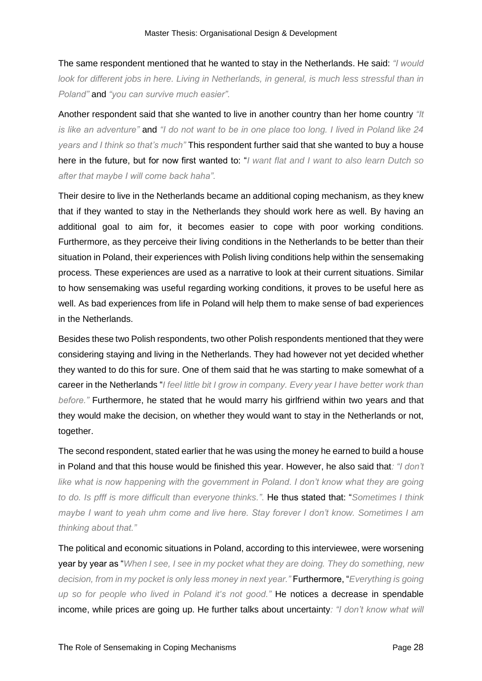The same respondent mentioned that he wanted to stay in the Netherlands. He said: *"I would look for different jobs in here. Living in Netherlands, in general, is much less stressful than in Poland"* and *"you can survive much easier".*

Another respondent said that she wanted to live in another country than her home country *"It is like an adventure"* and *"I do not want to be in one place too long. I lived in Poland like 24 years and I think so that's much"* This respondent further said that she wanted to buy a house here in the future, but for now first wanted to: "*I want flat and I want to also learn Dutch so after that maybe I will come back haha".*

Their desire to live in the Netherlands became an additional coping mechanism, as they knew that if they wanted to stay in the Netherlands they should work here as well. By having an additional goal to aim for, it becomes easier to cope with poor working conditions. Furthermore, as they perceive their living conditions in the Netherlands to be better than their situation in Poland, their experiences with Polish living conditions help within the sensemaking process. These experiences are used as a narrative to look at their current situations. Similar to how sensemaking was useful regarding working conditions, it proves to be useful here as well. As bad experiences from life in Poland will help them to make sense of bad experiences in the Netherlands.

Besides these two Polish respondents, two other Polish respondents mentioned that they were considering staying and living in the Netherlands. They had however not yet decided whether they wanted to do this for sure. One of them said that he was starting to make somewhat of a career in the Netherlands "*I feel little bit I grow in company. Every year I have better work than before."* Furthermore, he stated that he would marry his girlfriend within two years and that they would make the decision, on whether they would want to stay in the Netherlands or not, together.

The second respondent, stated earlier that he was using the money he earned to build a house in Poland and that this house would be finished this year. However, he also said that*: "I don't*  like what is now happening with the government in Poland. I don't know what they are going *to do. Is pfff is more difficult than everyone thinks."*. He thus stated that: "*Sometimes I think maybe I want to yeah uhm come and live here. Stay forever I don't know. Sometimes I am thinking about that."*

The political and economic situations in Poland, according to this interviewee, were worsening year by year as "*When I see, I see in my pocket what they are doing. They do something, new decision, from in my pocket is only less money in next year."* Furthermore, "*Everything is going up so for people who lived in Poland it's not good."* He notices a decrease in spendable income, while prices are going up. He further talks about uncertainty*: "I don't know what will*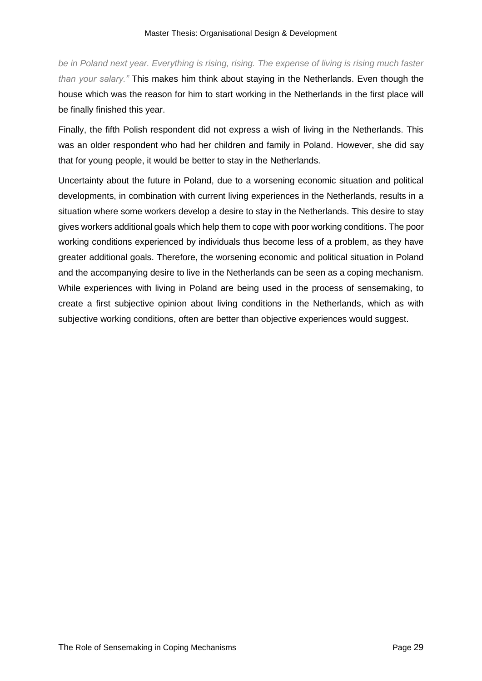*be in Poland next year. Everything is rising, rising. The expense of living is rising much faster than your salary."* This makes him think about staying in the Netherlands. Even though the house which was the reason for him to start working in the Netherlands in the first place will be finally finished this year.

Finally, the fifth Polish respondent did not express a wish of living in the Netherlands. This was an older respondent who had her children and family in Poland. However, she did say that for young people, it would be better to stay in the Netherlands.

Uncertainty about the future in Poland, due to a worsening economic situation and political developments, in combination with current living experiences in the Netherlands, results in a situation where some workers develop a desire to stay in the Netherlands. This desire to stay gives workers additional goals which help them to cope with poor working conditions. The poor working conditions experienced by individuals thus become less of a problem, as they have greater additional goals. Therefore, the worsening economic and political situation in Poland and the accompanying desire to live in the Netherlands can be seen as a coping mechanism. While experiences with living in Poland are being used in the process of sensemaking, to create a first subjective opinion about living conditions in the Netherlands, which as with subjective working conditions, often are better than objective experiences would suggest.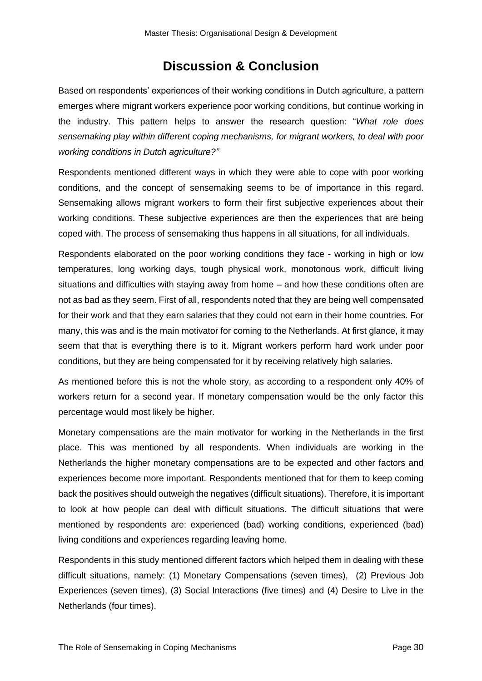## **Discussion & Conclusion**

<span id="page-33-0"></span>Based on respondents' experiences of their working conditions in Dutch agriculture, a pattern emerges where migrant workers experience poor working conditions, but continue working in the industry. This pattern helps to answer the research question: "*What role does sensemaking play within different coping mechanisms, for migrant workers, to deal with poor working conditions in Dutch agriculture?"*

Respondents mentioned different ways in which they were able to cope with poor working conditions, and the concept of sensemaking seems to be of importance in this regard. Sensemaking allows migrant workers to form their first subjective experiences about their working conditions. These subjective experiences are then the experiences that are being coped with. The process of sensemaking thus happens in all situations, for all individuals.

Respondents elaborated on the poor working conditions they face - working in high or low temperatures, long working days, tough physical work, monotonous work, difficult living situations and difficulties with staying away from home – and how these conditions often are not as bad as they seem. First of all, respondents noted that they are being well compensated for their work and that they earn salaries that they could not earn in their home countries. For many, this was and is the main motivator for coming to the Netherlands. At first glance, it may seem that that is everything there is to it. Migrant workers perform hard work under poor conditions, but they are being compensated for it by receiving relatively high salaries.

As mentioned before this is not the whole story, as according to a respondent only 40% of workers return for a second year. If monetary compensation would be the only factor this percentage would most likely be higher.

Monetary compensations are the main motivator for working in the Netherlands in the first place. This was mentioned by all respondents. When individuals are working in the Netherlands the higher monetary compensations are to be expected and other factors and experiences become more important. Respondents mentioned that for them to keep coming back the positives should outweigh the negatives (difficult situations). Therefore, it is important to look at how people can deal with difficult situations. The difficult situations that were mentioned by respondents are: experienced (bad) working conditions, experienced (bad) living conditions and experiences regarding leaving home.

Respondents in this study mentioned different factors which helped them in dealing with these difficult situations, namely: (1) Monetary Compensations (seven times), (2) Previous Job Experiences (seven times), (3) Social Interactions (five times) and (4) Desire to Live in the Netherlands (four times).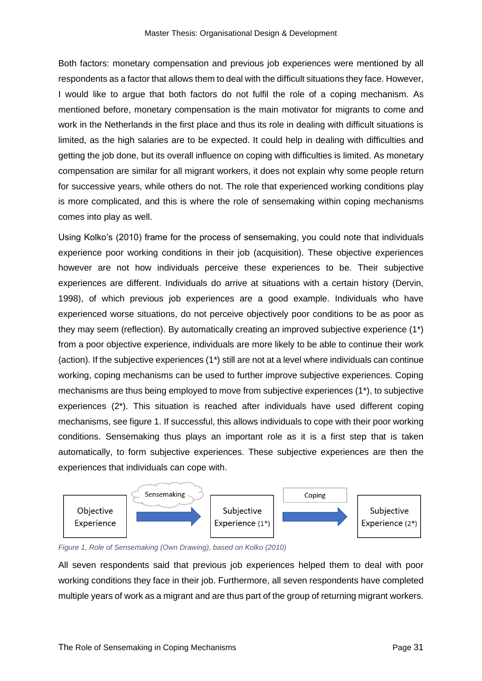Both factors: monetary compensation and previous job experiences were mentioned by all respondents as a factor that allows them to deal with the difficult situations they face. However, I would like to argue that both factors do not fulfil the role of a coping mechanism. As mentioned before, monetary compensation is the main motivator for migrants to come and work in the Netherlands in the first place and thus its role in dealing with difficult situations is limited, as the high salaries are to be expected. It could help in dealing with difficulties and getting the job done, but its overall influence on coping with difficulties is limited. As monetary compensation are similar for all migrant workers, it does not explain why some people return for successive years, while others do not. The role that experienced working conditions play is more complicated, and this is where the role of sensemaking within coping mechanisms comes into play as well.

Using Kolko's (2010) frame for the process of sensemaking, you could note that individuals experience poor working conditions in their job (acquisition). These objective experiences however are not how individuals perceive these experiences to be. Their subjective experiences are different. Individuals do arrive at situations with a certain history (Dervin, 1998), of which previous job experiences are a good example. Individuals who have experienced worse situations, do not perceive objectively poor conditions to be as poor as they may seem (reflection). By automatically creating an improved subjective experience (1\*) from a poor objective experience, individuals are more likely to be able to continue their work (action). If the subjective experiences (1\*) still are not at a level where individuals can continue working, coping mechanisms can be used to further improve subjective experiences. Coping mechanisms are thus being employed to move from subjective experiences (1\*), to subjective experiences (2\*). This situation is reached after individuals have used different coping mechanisms, see figure 1. If successful, this allows individuals to cope with their poor working conditions. Sensemaking thus plays an important role as it is a first step that is taken automatically, to form subjective experiences. These subjective experiences are then the experiences that individuals can cope with.



*Figure 1, Role of Sensemaking (Own Drawing), based on Kolko (2010)*

All seven respondents said that previous job experiences helped them to deal with poor working conditions they face in their job. Furthermore, all seven respondents have completed multiple years of work as a migrant and are thus part of the group of returning migrant workers.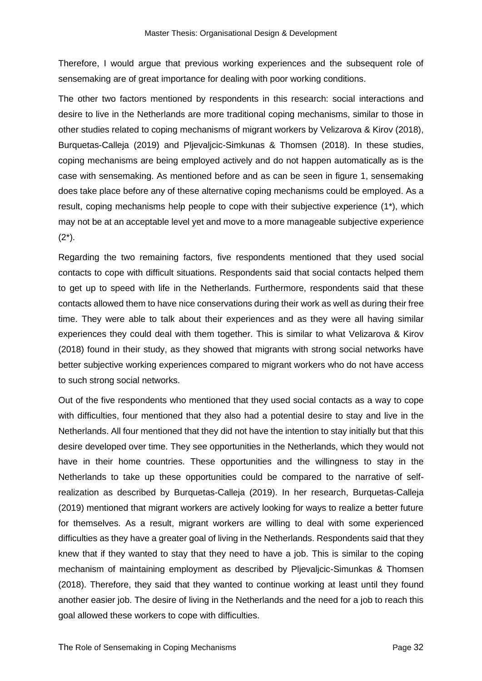Therefore, I would argue that previous working experiences and the subsequent role of sensemaking are of great importance for dealing with poor working conditions.

The other two factors mentioned by respondents in this research: social interactions and desire to live in the Netherlands are more traditional coping mechanisms, similar to those in other studies related to coping mechanisms of migrant workers by Velizarova & Kirov (2018), Burquetas-Calleja (2019) and Pljevaljcic-Simkunas & Thomsen (2018). In these studies, coping mechanisms are being employed actively and do not happen automatically as is the case with sensemaking. As mentioned before and as can be seen in figure 1, sensemaking does take place before any of these alternative coping mechanisms could be employed. As a result, coping mechanisms help people to cope with their subjective experience (1\*), which may not be at an acceptable level yet and move to a more manageable subjective experience  $(2^*)$ .

Regarding the two remaining factors, five respondents mentioned that they used social contacts to cope with difficult situations. Respondents said that social contacts helped them to get up to speed with life in the Netherlands. Furthermore, respondents said that these contacts allowed them to have nice conservations during their work as well as during their free time. They were able to talk about their experiences and as they were all having similar experiences they could deal with them together. This is similar to what Velizarova & Kirov (2018) found in their study, as they showed that migrants with strong social networks have better subjective working experiences compared to migrant workers who do not have access to such strong social networks.

Out of the five respondents who mentioned that they used social contacts as a way to cope with difficulties, four mentioned that they also had a potential desire to stay and live in the Netherlands. All four mentioned that they did not have the intention to stay initially but that this desire developed over time. They see opportunities in the Netherlands, which they would not have in their home countries. These opportunities and the willingness to stay in the Netherlands to take up these opportunities could be compared to the narrative of selfrealization as described by Burquetas-Calleja (2019). In her research, Burquetas-Calleja (2019) mentioned that migrant workers are actively looking for ways to realize a better future for themselves. As a result, migrant workers are willing to deal with some experienced difficulties as they have a greater goal of living in the Netherlands. Respondents said that they knew that if they wanted to stay that they need to have a job. This is similar to the coping mechanism of maintaining employment as described by Pljevaljcic-Simunkas & Thomsen (2018). Therefore, they said that they wanted to continue working at least until they found another easier job. The desire of living in the Netherlands and the need for a job to reach this goal allowed these workers to cope with difficulties.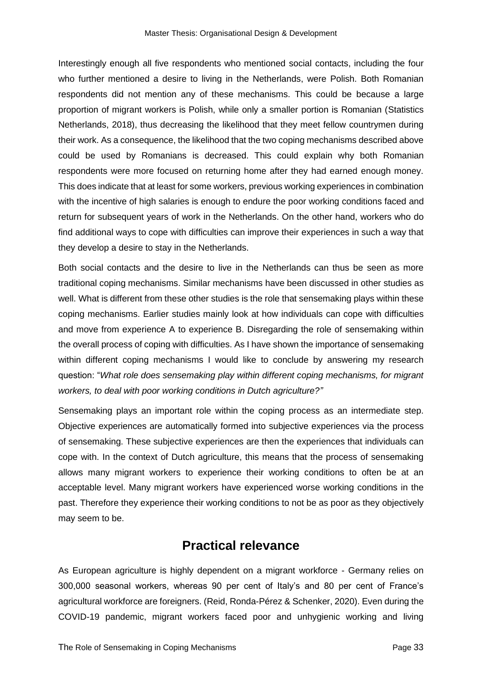Interestingly enough all five respondents who mentioned social contacts, including the four who further mentioned a desire to living in the Netherlands, were Polish. Both Romanian respondents did not mention any of these mechanisms. This could be because a large proportion of migrant workers is Polish, while only a smaller portion is Romanian (Statistics Netherlands, 2018), thus decreasing the likelihood that they meet fellow countrymen during their work. As a consequence, the likelihood that the two coping mechanisms described above could be used by Romanians is decreased. This could explain why both Romanian respondents were more focused on returning home after they had earned enough money. This does indicate that at least for some workers, previous working experiences in combination with the incentive of high salaries is enough to endure the poor working conditions faced and return for subsequent years of work in the Netherlands. On the other hand, workers who do find additional ways to cope with difficulties can improve their experiences in such a way that they develop a desire to stay in the Netherlands.

Both social contacts and the desire to live in the Netherlands can thus be seen as more traditional coping mechanisms. Similar mechanisms have been discussed in other studies as well. What is different from these other studies is the role that sensemaking plays within these coping mechanisms. Earlier studies mainly look at how individuals can cope with difficulties and move from experience A to experience B. Disregarding the role of sensemaking within the overall process of coping with difficulties. As I have shown the importance of sensemaking within different coping mechanisms I would like to conclude by answering my research question: "*What role does sensemaking play within different coping mechanisms, for migrant workers, to deal with poor working conditions in Dutch agriculture?"*

Sensemaking plays an important role within the coping process as an intermediate step. Objective experiences are automatically formed into subjective experiences via the process of sensemaking. These subjective experiences are then the experiences that individuals can cope with. In the context of Dutch agriculture, this means that the process of sensemaking allows many migrant workers to experience their working conditions to often be at an acceptable level. Many migrant workers have experienced worse working conditions in the past. Therefore they experience their working conditions to not be as poor as they objectively may seem to be.

### **Practical relevance**

<span id="page-36-0"></span>As European agriculture is highly dependent on a migrant workforce - Germany relies on 300,000 seasonal workers, whereas 90 per cent of Italy's and 80 per cent of France's agricultural workforce are foreigners. (Reid, Ronda-Pérez & Schenker, 2020). Even during the COVID-19 pandemic, migrant workers faced poor and unhygienic working and living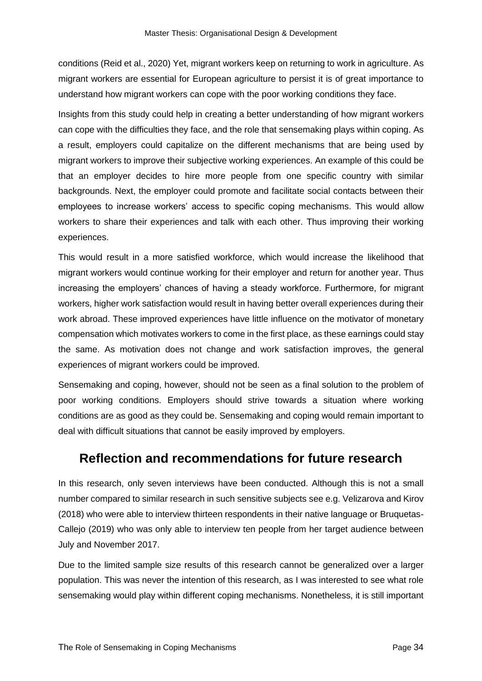conditions (Reid et al., 2020) Yet, migrant workers keep on returning to work in agriculture. As migrant workers are essential for European agriculture to persist it is of great importance to understand how migrant workers can cope with the poor working conditions they face.

Insights from this study could help in creating a better understanding of how migrant workers can cope with the difficulties they face, and the role that sensemaking plays within coping. As a result, employers could capitalize on the different mechanisms that are being used by migrant workers to improve their subjective working experiences. An example of this could be that an employer decides to hire more people from one specific country with similar backgrounds. Next, the employer could promote and facilitate social contacts between their employees to increase workers' access to specific coping mechanisms. This would allow workers to share their experiences and talk with each other. Thus improving their working experiences.

This would result in a more satisfied workforce, which would increase the likelihood that migrant workers would continue working for their employer and return for another year. Thus increasing the employers' chances of having a steady workforce. Furthermore, for migrant workers, higher work satisfaction would result in having better overall experiences during their work abroad. These improved experiences have little influence on the motivator of monetary compensation which motivates workers to come in the first place, as these earnings could stay the same. As motivation does not change and work satisfaction improves, the general experiences of migrant workers could be improved.

Sensemaking and coping, however, should not be seen as a final solution to the problem of poor working conditions. Employers should strive towards a situation where working conditions are as good as they could be. Sensemaking and coping would remain important to deal with difficult situations that cannot be easily improved by employers.

## <span id="page-37-0"></span>**Reflection and recommendations for future research**

In this research, only seven interviews have been conducted. Although this is not a small number compared to similar research in such sensitive subjects see e.g. Velizarova and Kirov (2018) who were able to interview thirteen respondents in their native language or Bruquetas-Callejo (2019) who was only able to interview ten people from her target audience between July and November 2017.

Due to the limited sample size results of this research cannot be generalized over a larger population. This was never the intention of this research, as I was interested to see what role sensemaking would play within different coping mechanisms. Nonetheless, it is still important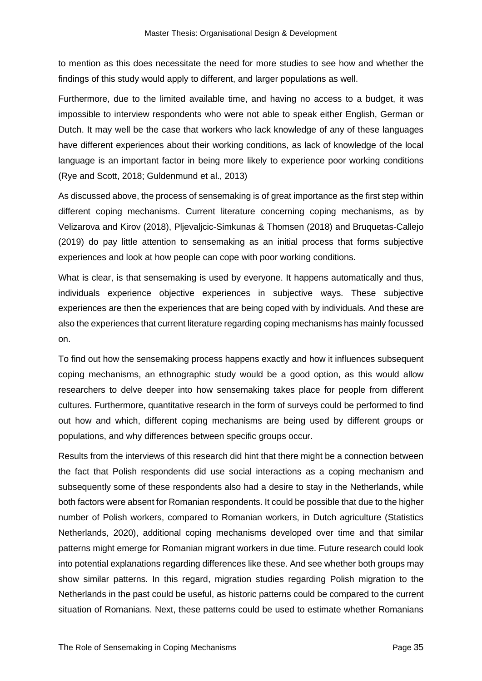to mention as this does necessitate the need for more studies to see how and whether the findings of this study would apply to different, and larger populations as well.

Furthermore, due to the limited available time, and having no access to a budget, it was impossible to interview respondents who were not able to speak either English, German or Dutch. It may well be the case that workers who lack knowledge of any of these languages have different experiences about their working conditions, as lack of knowledge of the local language is an important factor in being more likely to experience poor working conditions (Rye and Scott, 2018; Guldenmund et al., 2013)

As discussed above, the process of sensemaking is of great importance as the first step within different coping mechanisms. Current literature concerning coping mechanisms, as by Velizarova and Kirov (2018), Pljevaljcic-Simkunas & Thomsen (2018) and Bruquetas-Callejo (2019) do pay little attention to sensemaking as an initial process that forms subjective experiences and look at how people can cope with poor working conditions.

What is clear, is that sensemaking is used by everyone. It happens automatically and thus, individuals experience objective experiences in subjective ways. These subjective experiences are then the experiences that are being coped with by individuals. And these are also the experiences that current literature regarding coping mechanisms has mainly focussed on.

To find out how the sensemaking process happens exactly and how it influences subsequent coping mechanisms, an ethnographic study would be a good option, as this would allow researchers to delve deeper into how sensemaking takes place for people from different cultures. Furthermore, quantitative research in the form of surveys could be performed to find out how and which, different coping mechanisms are being used by different groups or populations, and why differences between specific groups occur.

Results from the interviews of this research did hint that there might be a connection between the fact that Polish respondents did use social interactions as a coping mechanism and subsequently some of these respondents also had a desire to stay in the Netherlands, while both factors were absent for Romanian respondents. It could be possible that due to the higher number of Polish workers, compared to Romanian workers, in Dutch agriculture (Statistics Netherlands, 2020), additional coping mechanisms developed over time and that similar patterns might emerge for Romanian migrant workers in due time. Future research could look into potential explanations regarding differences like these. And see whether both groups may show similar patterns. In this regard, migration studies regarding Polish migration to the Netherlands in the past could be useful, as historic patterns could be compared to the current situation of Romanians. Next, these patterns could be used to estimate whether Romanians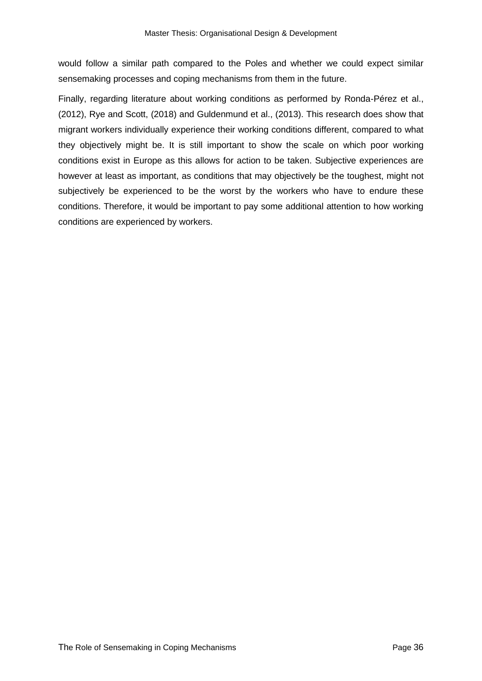would follow a similar path compared to the Poles and whether we could expect similar sensemaking processes and coping mechanisms from them in the future.

Finally, regarding literature about working conditions as performed by Ronda-Pérez et al., (2012), Rye and Scott, (2018) and Guldenmund et al., (2013). This research does show that migrant workers individually experience their working conditions different, compared to what they objectively might be. It is still important to show the scale on which poor working conditions exist in Europe as this allows for action to be taken. Subjective experiences are however at least as important, as conditions that may objectively be the toughest, might not subjectively be experienced to be the worst by the workers who have to endure these conditions. Therefore, it would be important to pay some additional attention to how working conditions are experienced by workers.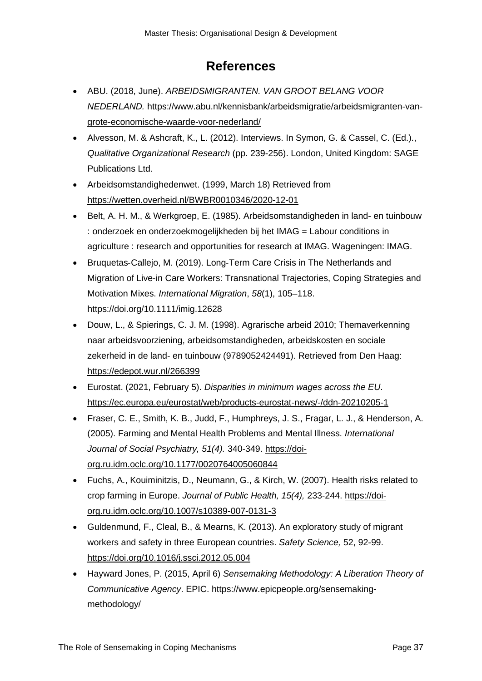## **References**

- <span id="page-40-0"></span>• ABU. (2018, June). *ARBEIDSMIGRANTEN. VAN GROOT BELANG VOOR NEDERLAND.* [https://www.abu.nl/kennisbank/arbeidsmigratie/arbeidsmigranten-van](https://www.abu.nl/kennisbank/arbeidsmigratie/arbeidsmigranten-van-grote-economische-waarde-voor-nederland/)[grote-economische-waarde-voor-nederland/](https://www.abu.nl/kennisbank/arbeidsmigratie/arbeidsmigranten-van-grote-economische-waarde-voor-nederland/)
- Alvesson, M. & Ashcraft, K., L. (2012). Interviews. In Symon, G. & Cassel, C. (Ed.)., *Qualitative Organizational Research* (pp. 239-256). London, United Kingdom: SAGE Publications Ltd.
- Arbeidsomstandighedenwet. (1999, March 18) Retrieved from <https://wetten.overheid.nl/BWBR0010346/2020-12-01>
- Belt, A. H. M., & Werkgroep, E. (1985). Arbeidsomstandigheden in land- en tuinbouw : onderzoek en onderzoekmogelijkheden bij het IMAG = Labour conditions in agriculture : research and opportunities for research at IMAG. Wageningen: IMAG.
- Bruquetas‐Callejo, M. (2019). Long‐Term Care Crisis in The Netherlands and Migration of Live‐in Care Workers: Transnational Trajectories, Coping Strategies and Motivation Mixes. *International Migration*, *58*(1), 105–118. https://doi.org/10.1111/imig.12628
- Douw, L., & Spierings, C. J. M. (1998). Agrarische arbeid 2010; Themaverkenning naar arbeidsvoorziening, arbeidsomstandigheden, arbeidskosten en sociale zekerheid in de land- en tuinbouw (9789052424491). Retrieved from Den Haag: <https://edepot.wur.nl/266399>
- Eurostat. (2021, February 5). *Disparities in minimum wages across the EU*. <https://ec.europa.eu/eurostat/web/products-eurostat-news/-/ddn-20210205-1>
- Fraser, C. E., Smith, K. B., Judd, F., Humphreys, J. S., Fragar, L. J., & Henderson, A. (2005). Farming and Mental Health Problems and Mental Illness. *International Journal of Social Psychiatry, 51(4).* 340-349. [https://doi](https://doi-org.ru.idm.oclc.org/10.1177/0020764005060844)[org.ru.idm.oclc.org/10.1177/0020764005060844](https://doi-org.ru.idm.oclc.org/10.1177/0020764005060844)
- Fuchs, A., Kouiminitzis, D., Neumann, G., & Kirch, W. (2007). Health risks related to crop farming in Europe. *Journal of Public Health, 15(4),* 233-244. [https://doi](https://doi-org.ru.idm.oclc.org/10.1007/s10389-007-0131-3)[org.ru.idm.oclc.org/10.1007/s10389-007-0131-3](https://doi-org.ru.idm.oclc.org/10.1007/s10389-007-0131-3)
- Guldenmund, F., Cleal, B., & Mearns, K. (2013). An exploratory study of migrant workers and safety in three European countries. *Safety Science,* 52, 92-99. [https://doi.org/10.1016/j.ssci.2012.05.004](https://doi-org.ru.idm.oclc.org/10.1016/j.ssci.2012.05.004)
- Hayward Jones, P. (2015, April 6) *Sensemaking Methodology: A Liberation Theory of Communicative Agency*. EPIC. [https://www.epicpeople.org/sensemaking](https://www.epicpeople.org/sensemaking-methodology/)[methodology/](https://www.epicpeople.org/sensemaking-methodology/)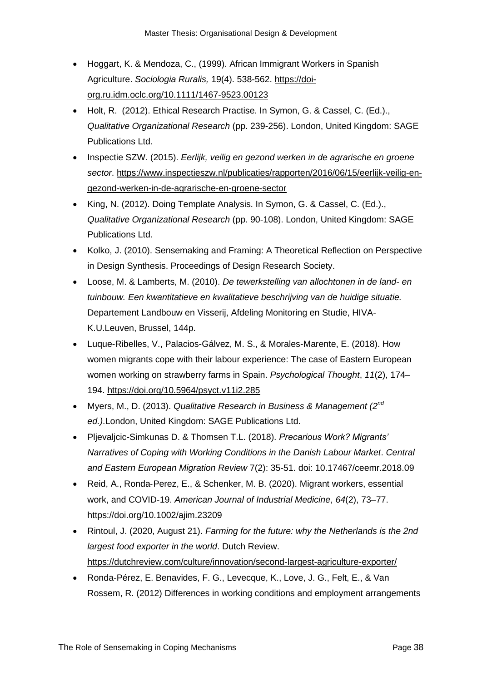- Hoggart, K. & Mendoza, C., (1999). African Immigrant Workers in Spanish Agriculture. *Sociologia Ruralis,* 19(4). 538-562. [https://doi](https://doi-org.ru.idm.oclc.org/10.1111/1467-9523.00123)[org.ru.idm.oclc.org/10.1111/1467-9523.00123](https://doi-org.ru.idm.oclc.org/10.1111/1467-9523.00123)
- Holt, R. (2012). Ethical Research Practise. In Symon, G. & Cassel, C. (Ed.)., *Qualitative Organizational Research* (pp. 239-256). London, United Kingdom: SAGE Publications Ltd.
- Inspectie SZW. (2015). *Eerlijk, veilig en gezond werken in de agrarische en groene sector*. [https://www.inspectieszw.nl/publicaties/rapporten/2016/06/15/eerlijk-veilig-en](https://www.inspectieszw.nl/publicaties/rapporten/2016/06/15/eerlijk-veilig-en-gezond-werken-in-de-agrarische-en-groene-sector)[gezond-werken-in-de-agrarische-en-groene-sector](https://www.inspectieszw.nl/publicaties/rapporten/2016/06/15/eerlijk-veilig-en-gezond-werken-in-de-agrarische-en-groene-sector)
- King, N. (2012). Doing Template Analysis. In Symon, G. & Cassel, C. (Ed.)., *Qualitative Organizational Research* (pp. 90-108). London, United Kingdom: SAGE Publications Ltd.
- Kolko, J. (2010). Sensemaking and Framing: A Theoretical Reflection on Perspective in Design Synthesis. Proceedings of Design Research Society.
- Loose, M. & Lamberts, M. (2010). *De tewerkstelling van allochtonen in de land- en tuinbouw. Een kwantitatieve en kwalitatieve beschrijving van de huidige situatie.* Departement Landbouw en Visserij, Afdeling Monitoring en Studie, HIVA-K.U.Leuven, Brussel, 144p.
- Luque-Ribelles, V., Palacios-Gálvez, M. S., & Morales-Marente, E. (2018). How women migrants cope with their labour experience: The case of Eastern European women working on strawberry farms in Spain. *Psychological Thought*, *11*(2), 174– 194.<https://doi.org/10.5964/psyct.v11i2.285>
- Myers, M., D. (2013). *Qualitative Research in Business & Management (2nd ed.)*.London, United Kingdom: SAGE Publications Ltd.
- Pljevaljcic-Simkunas D. & Thomsen T.L. (2018). *[Precarious Work? Migrants'](http://ceemr.uw.edu.pl/content/precarious-work-migrants-narratives-coping-working-conditions-danish-labour-market)  [Narratives of Coping with Working Conditions in the Danish Labour Market](http://ceemr.uw.edu.pl/content/precarious-work-migrants-narratives-coping-working-conditions-danish-labour-market)*. *Central and Eastern European Migration Review* 7(2): 35-51. doi: 10.17467/ceemr.2018.09
- Reid, A., Ronda‐Perez, E., & Schenker, M. B. (2020). Migrant workers, essential work, and COVID‐19. *American Journal of Industrial Medicine*, *64*(2), 73–77. https://doi.org/10.1002/ajim.23209
- Rintoul, J. (2020, August 21). *Farming for the future: why the Netherlands is the 2nd largest food exporter in the world*. Dutch Review. <https://dutchreview.com/culture/innovation/second-largest-agriculture-exporter/>
- Ronda-Pérez, E. Benavides, F. G., Levecque, K., Love, J. G., Felt, E., & Van Rossem, R. (2012) Differences in working conditions and employment arrangements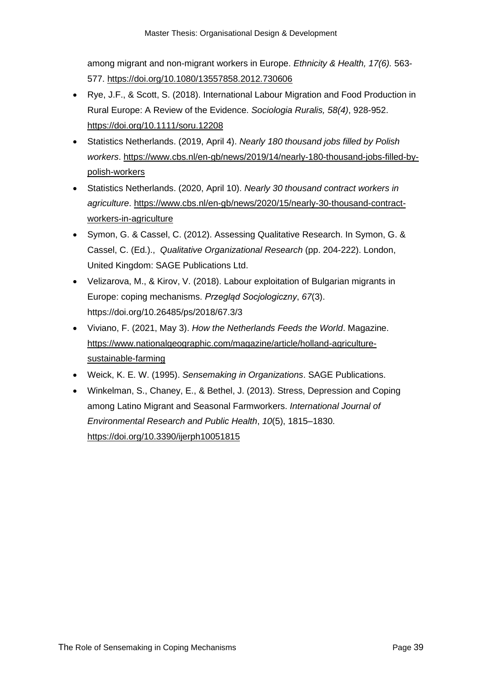among migrant and non-migrant workers in Europe. *Ethnicity & Health, 17(6).* 563- 577.<https://doi.org/10.1080/13557858.2012.730606>

- Rye, J.F., & Scott, S. (2018). International Labour Migration and Food Production in Rural Europe: A Review of the Evidence. *Sociologia Ruralis, 58(4)*, 928-952. <https://doi.org/10.1111/soru.12208>
- Statistics Netherlands. (2019, April 4). *Nearly 180 thousand jobs filled by Polish workers*. [https://www.cbs.nl/en-gb/news/2019/14/nearly-180-thousand-jobs-filled-by](https://www.cbs.nl/en-gb/news/2019/14/nearly-180-thousand-jobs-filled-by-polish-workers)[polish-workers](https://www.cbs.nl/en-gb/news/2019/14/nearly-180-thousand-jobs-filled-by-polish-workers)
- Statistics Netherlands. (2020, April 10). *Nearly 30 thousand contract workers in agriculture*. [https://www.cbs.nl/en-gb/news/2020/15/nearly-30-thousand-contract](https://www.cbs.nl/en-gb/news/2020/15/nearly-30-thousand-contract-workers-in-agriculture)[workers-in-agriculture](https://www.cbs.nl/en-gb/news/2020/15/nearly-30-thousand-contract-workers-in-agriculture)
- Symon, G. & Cassel, C. (2012). Assessing Qualitative Research. In Symon, G. & Cassel, C. (Ed.)., *Qualitative Organizational Research* (pp. 204-222). London, United Kingdom: SAGE Publications Ltd.
- Velizarova, M., & Kirov, V. (2018). Labour exploitation of Bulgarian migrants in Europe: coping mechanisms. *Przegląd Socjologiczny*, *67*(3). https://doi.org/10.26485/ps/2018/67.3/3
- Viviano, F. (2021, May 3). *How the Netherlands Feeds the World*. Magazine. [https://www.nationalgeographic.com/magazine/article/holland-agriculture](https://www.nationalgeographic.com/magazine/article/holland-agriculture-sustainable-farming)[sustainable-farming](https://www.nationalgeographic.com/magazine/article/holland-agriculture-sustainable-farming)
- Weick, K. E. W. (1995). *Sensemaking in Organizations*. SAGE Publications.
- Winkelman, S., Chaney, E., & Bethel, J. (2013). Stress, Depression and Coping among Latino Migrant and Seasonal Farmworkers. *International Journal of Environmental Research and Public Health*, *10*(5), 1815–1830. <https://doi.org/10.3390/ijerph10051815>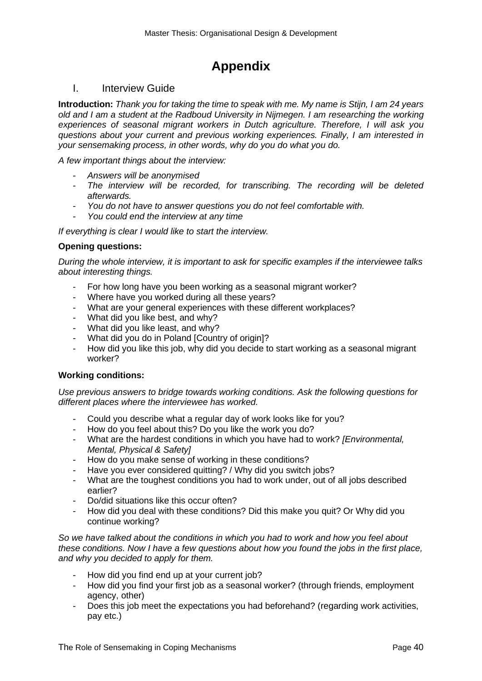## **Appendix**

#### <span id="page-43-1"></span><span id="page-43-0"></span>I. Interview Guide

**Introduction:** *Thank you for taking the time to speak with me. My name is Stijn, I am 24 years old and I am a student at the Radboud University in Nijmegen. I am researching the working experiences of seasonal migrant workers in Dutch agriculture. Therefore, I will ask you questions about your current and previous working experiences. Finally, I am interested in your sensemaking process, in other words, why do you do what you do.*

*A few important things about the interview:*

- *Answers will be anonymised*
- *The interview will be recorded, for transcribing. The recording will be deleted afterwards.*
- *You do not have to answer questions you do not feel comfortable with.*
- *You could end the interview at any time*

*If everything is clear I would like to start the interview.*

#### **Opening questions:**

*During the whole interview, it is important to ask for specific examples if the interviewee talks about interesting things.*

- For how long have you been working as a seasonal migrant worker?
- Where have you worked during all these years?
- What are your general experiences with these different workplaces?
- What did you like best, and why?
- What did you like least, and why?
- What did you do in Poland [Country of origin]?
- How did you like this job, why did you decide to start working as a seasonal migrant worker?

#### **Working conditions:**

*Use previous answers to bridge towards working conditions. Ask the following questions for different places where the interviewee has worked.*

- Could you describe what a regular day of work looks like for you?
- How do you feel about this? Do you like the work you do?
- What are the hardest conditions in which you have had to work? *[Environmental, Mental, Physical & Safety]*
- How do you make sense of working in these conditions?
- Have you ever considered quitting? / Why did you switch jobs?
- What are the toughest conditions you had to work under, out of all jobs described earlier?
- Do/did situations like this occur often?
- How did you deal with these conditions? Did this make you quit? Or Why did you continue working?

*So we have talked about the conditions in which you had to work and how you feel about these conditions. Now I have a few questions about how you found the jobs in the first place, and why you decided to apply for them.*

- How did you find end up at your current job?
- How did you find your first job as a seasonal worker? (through friends, employment agency, other)
- Does this job meet the expectations you had beforehand? (regarding work activities, pay etc.)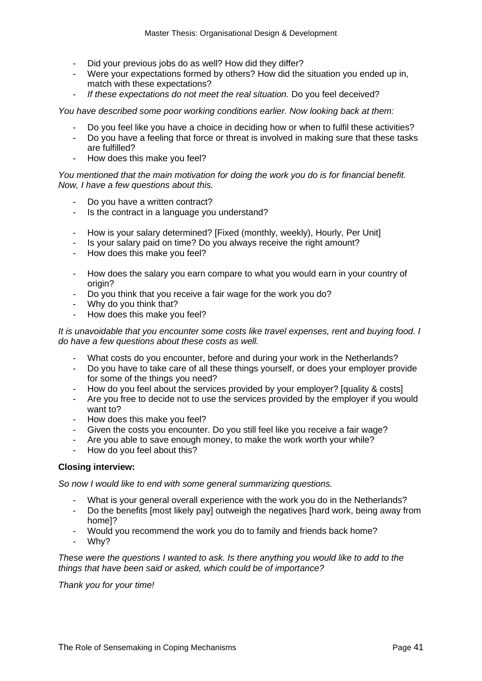- Did your previous jobs do as well? How did they differ?
- Were your expectations formed by others? How did the situation you ended up in, match with these expectations?
- *If these expectations do not meet the real situation.* Do you feel deceived?

#### *You have described some poor working conditions earlier. Now looking back at them:*

- Do you feel like you have a choice in deciding how or when to fulfil these activities?
- Do you have a feeling that force or threat is involved in making sure that these tasks are fulfilled?
- How does this make you feel?

*You mentioned that the main motivation for doing the work you do is for financial benefit. Now, I have a few questions about this.*

- Do you have a written contract?
- Is the contract in a language you understand?
- How is your salary determined? [Fixed (monthly, weekly), Hourly, Per Unit]
- Is your salary paid on time? Do you always receive the right amount?
- How does this make you feel?
- How does the salary you earn compare to what you would earn in your country of origin?
- Do you think that you receive a fair wage for the work you do?
- Why do you think that?
- How does this make you feel?

*It is unavoidable that you encounter some costs like travel expenses, rent and buying food. I do have a few questions about these costs as well.*

- What costs do you encounter, before and during your work in the Netherlands?
- Do you have to take care of all these things yourself, or does your employer provide for some of the things you need?
- How do you feel about the services provided by your employer? [quality & costs]
- Are you free to decide not to use the services provided by the employer if you would want to?
- How does this make you feel?
- Given the costs you encounter. Do you still feel like you receive a fair wage?
- Are you able to save enough money, to make the work worth your while?
- How do you feel about this?

#### **Closing interview:**

*So now I would like to end with some general summarizing questions.*

- What is your general overall experience with the work you do in the Netherlands?
- Do the benefits [most likely pay] outweigh the negatives [hard work, being away from home]?
- Would you recommend the work you do to family and friends back home?
- Why?

*These were the questions I wanted to ask. Is there anything you would like to add to the things that have been said or asked, which could be of importance?*

*Thank you for your time!*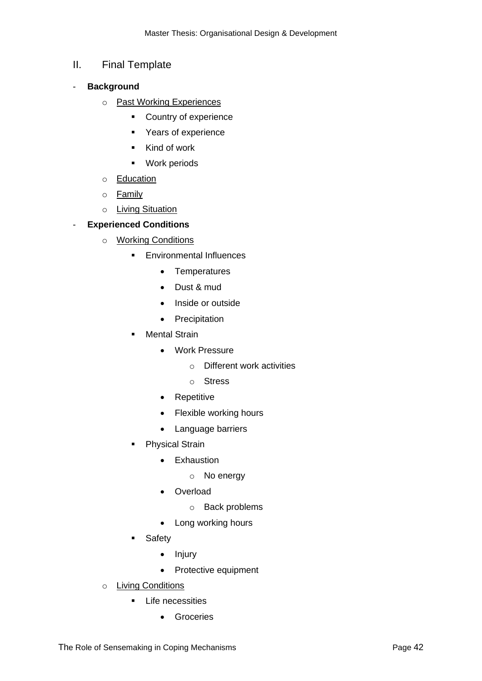#### <span id="page-45-0"></span>II. Final Template

- **Background**
	- o Past Working Experiences
		- Country of experience
		- Years of experience
		- Kind of work
		- Work periods
	- o Education
	- o Family
	- o Living Situation

#### - **Experienced Conditions**

- o Working Conditions
	- **Environmental Influences** 
		- Temperatures
		- Dust & mud
		- Inside or outside
		- Precipitation
	- Mental Strain
		- Work Pressure
			- o Different work activities
			- o Stress
		- Repetitive
		- Flexible working hours
		- Language barriers
	- **•** Physical Strain
		- Exhaustion
			- o No energy
		- Overload
			- o Back problems
		- Long working hours
	- Safety
		- Injury
		- Protective equipment
- o Living Conditions
	- Life necessities
		- Groceries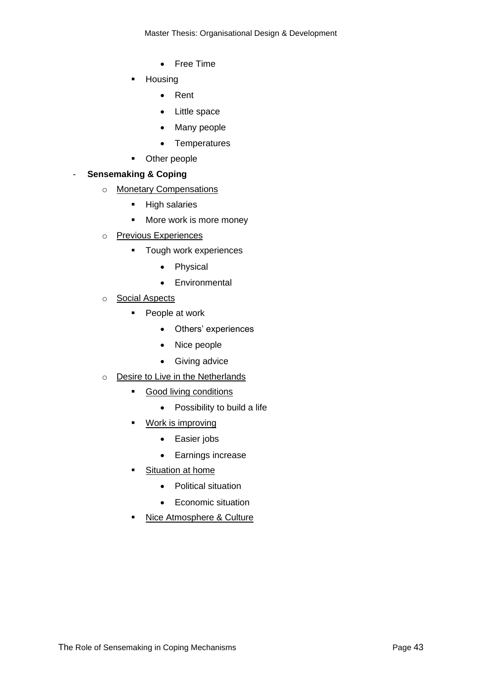Master Thesis: Organisational Design & Development

- Free Time
- Housing
	- Rent
	- Little space
	- Many people
	- Temperatures
- Other people

#### - **Sensemaking & Coping**

- o Monetary Compensations
	- High salaries
	- More work is more money
- o Previous Experiences
	- Tough work experiences
		- Physical
		- Environmental
- o Social Aspects
	- People at work
		- Others' experiences
		- Nice people
		- Giving advice
- o Desire to Live in the Netherlands
	- Good living conditions
		- Possibility to build a life
	- Work is improving
		- Easier jobs
		- Earnings increase
	- **Example 1** Situation at home
		- Political situation
		- Economic situation
	- **E** Nice Atmosphere & Culture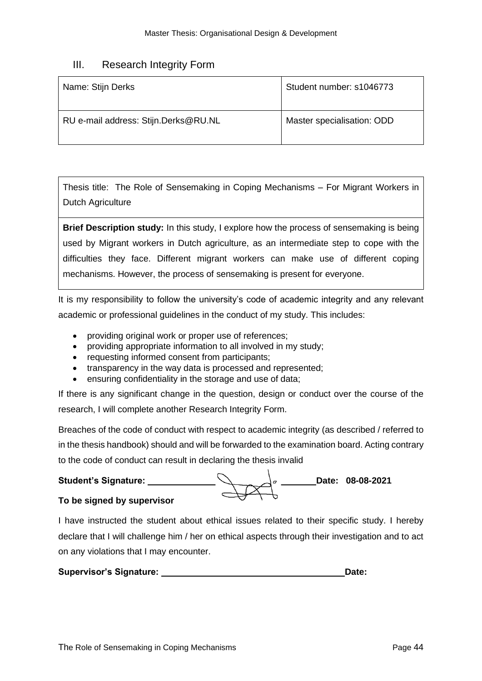#### <span id="page-47-0"></span>III. Research Integrity Form

| Name: Stijn Derks                    | Student number: s1046773   |
|--------------------------------------|----------------------------|
| RU e-mail address: Stijn.Derks@RU.NL | Master specialisation: ODD |

Thesis title: The Role of Sensemaking in Coping Mechanisms – For Migrant Workers in Dutch Agriculture

**Brief Description study:** In this study, I explore how the process of sensemaking is being used by Migrant workers in Dutch agriculture, as an intermediate step to cope with the difficulties they face. Different migrant workers can make use of different coping mechanisms. However, the process of sensemaking is present for everyone.

It is my responsibility to follow the university's code of academic integrity and any relevant academic or professional guidelines in the conduct of my study. This includes:

- providing original work or proper use of references;
- providing appropriate information to all involved in my study;
- requesting informed consent from participants;
- transparency in the way data is processed and represented;
- ensuring confidentiality in the storage and use of data;

If there is any significant change in the question, design or conduct over the course of the research, I will complete another Research Integrity Form.

Breaches of the code of conduct with respect to academic integrity (as described / referred to in the thesis handbook) should and will be forwarded to the examination board. Acting contrary to the code of conduct can result in declaring the thesis invalid



#### **To be signed by supervisor**

I have instructed the student about ethical issues related to their specific study. I hereby declare that I will challenge him / her on ethical aspects through their investigation and to act on any violations that I may encounter.

| <b>Supervisor's Signature:</b> | Date: |
|--------------------------------|-------|
|--------------------------------|-------|